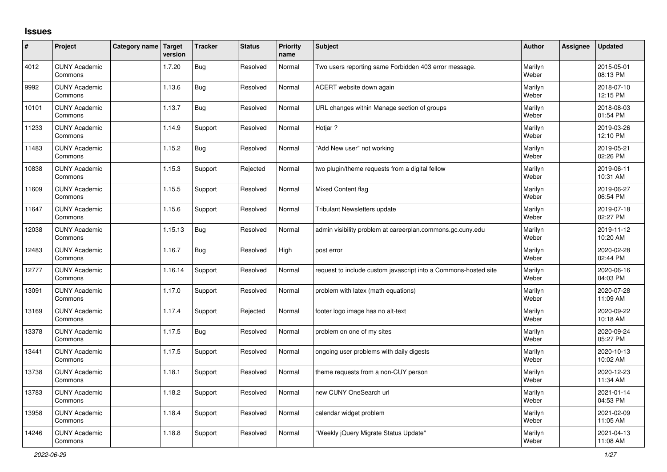## **Issues**

| #     | Project                         | Category name Target | version | <b>Tracker</b> | <b>Status</b> | <b>Priority</b><br>name | <b>Subject</b>                                                  | <b>Author</b>    | Assignee | <b>Updated</b>         |
|-------|---------------------------------|----------------------|---------|----------------|---------------|-------------------------|-----------------------------------------------------------------|------------------|----------|------------------------|
| 4012  | <b>CUNY Academic</b><br>Commons |                      | 1.7.20  | <b>Bug</b>     | Resolved      | Normal                  | Two users reporting same Forbidden 403 error message.           | Marilyn<br>Weber |          | 2015-05-01<br>08:13 PM |
| 9992  | <b>CUNY Academic</b><br>Commons |                      | 1.13.6  | Bug            | Resolved      | Normal                  | ACERT website down again                                        | Marilyn<br>Weber |          | 2018-07-10<br>12:15 PM |
| 10101 | <b>CUNY Academic</b><br>Commons |                      | 1.13.7  | Bug            | Resolved      | Normal                  | URL changes within Manage section of groups                     | Marilyn<br>Weber |          | 2018-08-03<br>01:54 PM |
| 11233 | <b>CUNY Academic</b><br>Commons |                      | 1.14.9  | Support        | Resolved      | Normal                  | Hotjar?                                                         | Marilyn<br>Weber |          | 2019-03-26<br>12:10 PM |
| 11483 | <b>CUNY Academic</b><br>Commons |                      | 1.15.2  | <b>Bug</b>     | Resolved      | Normal                  | "Add New user" not working                                      | Marilyn<br>Weber |          | 2019-05-21<br>02:26 PM |
| 10838 | <b>CUNY Academic</b><br>Commons |                      | 1.15.3  | Support        | Rejected      | Normal                  | two plugin/theme requests from a digital fellow                 | Marilyn<br>Weber |          | 2019-06-11<br>10:31 AM |
| 11609 | <b>CUNY Academic</b><br>Commons |                      | 1.15.5  | Support        | Resolved      | Normal                  | Mixed Content flag                                              | Marilyn<br>Weber |          | 2019-06-27<br>06:54 PM |
| 11647 | <b>CUNY Academic</b><br>Commons |                      | 1.15.6  | Support        | Resolved      | Normal                  | <b>Tribulant Newsletters update</b>                             | Marilyn<br>Weber |          | 2019-07-18<br>02:27 PM |
| 12038 | <b>CUNY Academic</b><br>Commons |                      | 1.15.13 | Bug            | Resolved      | Normal                  | admin visibility problem at careerplan.commons.gc.cuny.edu      | Marilyn<br>Weber |          | 2019-11-12<br>10:20 AM |
| 12483 | <b>CUNY Academic</b><br>Commons |                      | 1.16.7  | <b>Bug</b>     | Resolved      | High                    | post error                                                      | Marilyn<br>Weber |          | 2020-02-28<br>02:44 PM |
| 12777 | <b>CUNY Academic</b><br>Commons |                      | 1.16.14 | Support        | Resolved      | Normal                  | request to include custom javascript into a Commons-hosted site | Marilyn<br>Weber |          | 2020-06-16<br>04:03 PM |
| 13091 | <b>CUNY Academic</b><br>Commons |                      | 1.17.0  | Support        | Resolved      | Normal                  | problem with latex (math equations)                             | Marilyn<br>Weber |          | 2020-07-28<br>11:09 AM |
| 13169 | <b>CUNY Academic</b><br>Commons |                      | 1.17.4  | Support        | Rejected      | Normal                  | footer logo image has no alt-text                               | Marilyn<br>Weber |          | 2020-09-22<br>10:18 AM |
| 13378 | <b>CUNY Academic</b><br>Commons |                      | 1.17.5  | Bug            | Resolved      | Normal                  | problem on one of my sites                                      | Marilyn<br>Weber |          | 2020-09-24<br>05:27 PM |
| 13441 | <b>CUNY Academic</b><br>Commons |                      | 1.17.5  | Support        | Resolved      | Normal                  | ongoing user problems with daily digests                        | Marilyn<br>Weber |          | 2020-10-13<br>10:02 AM |
| 13738 | <b>CUNY Academic</b><br>Commons |                      | 1.18.1  | Support        | Resolved      | Normal                  | theme requests from a non-CUY person                            | Marilyn<br>Weber |          | 2020-12-23<br>11:34 AM |
| 13783 | <b>CUNY Academic</b><br>Commons |                      | 1.18.2  | Support        | Resolved      | Normal                  | new CUNY OneSearch url                                          | Marilyn<br>Weber |          | 2021-01-14<br>04:53 PM |
| 13958 | <b>CUNY Academic</b><br>Commons |                      | 1.18.4  | Support        | Resolved      | Normal                  | calendar widget problem                                         | Marilyn<br>Weber |          | 2021-02-09<br>11:05 AM |
| 14246 | <b>CUNY Academic</b><br>Commons |                      | 1.18.8  | Support        | Resolved      | Normal                  | 'Weekly jQuery Migrate Status Update"                           | Marilyn<br>Weber |          | 2021-04-13<br>11:08 AM |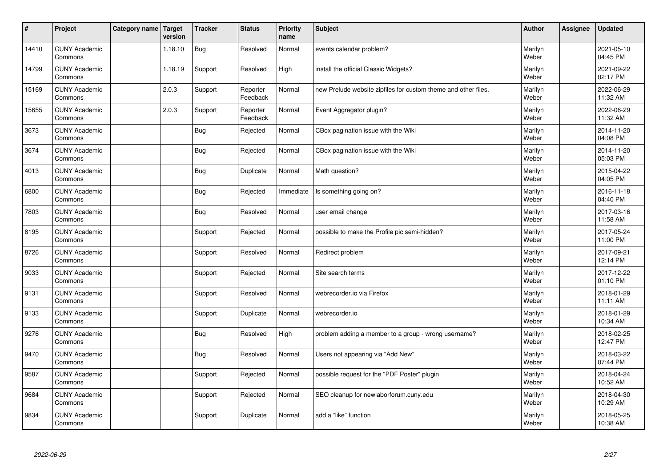| $\sharp$ | Project                         | Category name   Target | version | <b>Tracker</b> | <b>Status</b>        | <b>Priority</b><br>name | <b>Subject</b>                                                 | <b>Author</b>    | <b>Assignee</b> | <b>Updated</b>         |
|----------|---------------------------------|------------------------|---------|----------------|----------------------|-------------------------|----------------------------------------------------------------|------------------|-----------------|------------------------|
| 14410    | <b>CUNY Academic</b><br>Commons |                        | 1.18.10 | <b>Bug</b>     | Resolved             | Normal                  | events calendar problem?                                       | Marilyn<br>Weber |                 | 2021-05-10<br>04:45 PM |
| 14799    | <b>CUNY Academic</b><br>Commons |                        | 1.18.19 | Support        | Resolved             | High                    | install the official Classic Widgets?                          | Marilyn<br>Weber |                 | 2021-09-22<br>02:17 PM |
| 15169    | <b>CUNY Academic</b><br>Commons |                        | 2.0.3   | Support        | Reporter<br>Feedback | Normal                  | new Prelude website zipfiles for custom theme and other files. | Marilyn<br>Weber |                 | 2022-06-29<br>11:32 AM |
| 15655    | <b>CUNY Academic</b><br>Commons |                        | 2.0.3   | Support        | Reporter<br>Feedback | Normal                  | Event Aggregator plugin?                                       | Marilyn<br>Weber |                 | 2022-06-29<br>11:32 AM |
| 3673     | <b>CUNY Academic</b><br>Commons |                        |         | <b>Bug</b>     | Rejected             | Normal                  | CBox pagination issue with the Wiki                            | Marilyn<br>Weber |                 | 2014-11-20<br>04:08 PM |
| 3674     | <b>CUNY Academic</b><br>Commons |                        |         | <b>Bug</b>     | Rejected             | Normal                  | CBox pagination issue with the Wiki                            | Marilyn<br>Weber |                 | 2014-11-20<br>05:03 PM |
| 4013     | <b>CUNY Academic</b><br>Commons |                        |         | Bug            | Duplicate            | Normal                  | Math question?                                                 | Marilyn<br>Weber |                 | 2015-04-22<br>04:05 PM |
| 6800     | <b>CUNY Academic</b><br>Commons |                        |         | Bug            | Rejected             | Immediate               | Is something going on?                                         | Marilyn<br>Weber |                 | 2016-11-18<br>04:40 PM |
| 7803     | <b>CUNY Academic</b><br>Commons |                        |         | <b>Bug</b>     | Resolved             | Normal                  | user email change                                              | Marilyn<br>Weber |                 | 2017-03-16<br>11:58 AM |
| 8195     | <b>CUNY Academic</b><br>Commons |                        |         | Support        | Rejected             | Normal                  | possible to make the Profile pic semi-hidden?                  | Marilyn<br>Weber |                 | 2017-05-24<br>11:00 PM |
| 8726     | <b>CUNY Academic</b><br>Commons |                        |         | Support        | Resolved             | Normal                  | Redirect problem                                               | Marilyn<br>Weber |                 | 2017-09-21<br>12:14 PM |
| 9033     | <b>CUNY Academic</b><br>Commons |                        |         | Support        | Rejected             | Normal                  | Site search terms                                              | Marilyn<br>Weber |                 | 2017-12-22<br>01:10 PM |
| 9131     | <b>CUNY Academic</b><br>Commons |                        |         | Support        | Resolved             | Normal                  | webrecorder.io via Firefox                                     | Marilyn<br>Weber |                 | 2018-01-29<br>11:11 AM |
| 9133     | <b>CUNY Academic</b><br>Commons |                        |         | Support        | Duplicate            | Normal                  | webrecorder.io                                                 | Marilyn<br>Weber |                 | 2018-01-29<br>10:34 AM |
| 9276     | <b>CUNY Academic</b><br>Commons |                        |         | <b>Bug</b>     | Resolved             | High                    | problem adding a member to a group - wrong username?           | Marilyn<br>Weber |                 | 2018-02-25<br>12:47 PM |
| 9470     | <b>CUNY Academic</b><br>Commons |                        |         | Bug            | Resolved             | Normal                  | Users not appearing via "Add New"                              | Marilyn<br>Weber |                 | 2018-03-22<br>07:44 PM |
| 9587     | <b>CUNY Academic</b><br>Commons |                        |         | Support        | Rejected             | Normal                  | possible request for the "PDF Poster" plugin                   | Marilyn<br>Weber |                 | 2018-04-24<br>10:52 AM |
| 9684     | <b>CUNY Academic</b><br>Commons |                        |         | Support        | Rejected             | Normal                  | SEO cleanup for newlaborforum.cuny.edu                         | Marilyn<br>Weber |                 | 2018-04-30<br>10:29 AM |
| 9834     | <b>CUNY Academic</b><br>Commons |                        |         | Support        | Duplicate            | Normal                  | add a "like" function                                          | Marilyn<br>Weber |                 | 2018-05-25<br>10:38 AM |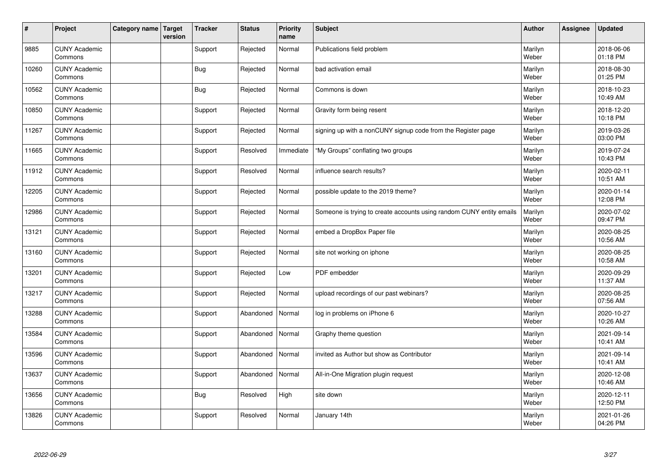| #     | Project                         | Category name   Target | version | <b>Tracker</b> | <b>Status</b> | <b>Priority</b><br>name | <b>Subject</b>                                                       | <b>Author</b>    | <b>Assignee</b> | <b>Updated</b>         |
|-------|---------------------------------|------------------------|---------|----------------|---------------|-------------------------|----------------------------------------------------------------------|------------------|-----------------|------------------------|
| 9885  | <b>CUNY Academic</b><br>Commons |                        |         | Support        | Rejected      | Normal                  | Publications field problem                                           | Marilyn<br>Weber |                 | 2018-06-06<br>01:18 PM |
| 10260 | <b>CUNY Academic</b><br>Commons |                        |         | <b>Bug</b>     | Rejected      | Normal                  | bad activation email                                                 | Marilyn<br>Weber |                 | 2018-08-30<br>01:25 PM |
| 10562 | <b>CUNY Academic</b><br>Commons |                        |         | Bug            | Rejected      | Normal                  | Commons is down                                                      | Marilyn<br>Weber |                 | 2018-10-23<br>10:49 AM |
| 10850 | <b>CUNY Academic</b><br>Commons |                        |         | Support        | Rejected      | Normal                  | Gravity form being resent                                            | Marilyn<br>Weber |                 | 2018-12-20<br>10:18 PM |
| 11267 | <b>CUNY Academic</b><br>Commons |                        |         | Support        | Rejected      | Normal                  | signing up with a nonCUNY signup code from the Register page         | Marilyn<br>Weber |                 | 2019-03-26<br>03:00 PM |
| 11665 | <b>CUNY Academic</b><br>Commons |                        |         | Support        | Resolved      | Immediate               | "My Groups" conflating two groups                                    | Marilyn<br>Weber |                 | 2019-07-24<br>10:43 PM |
| 11912 | <b>CUNY Academic</b><br>Commons |                        |         | Support        | Resolved      | Normal                  | influence search results?                                            | Marilyn<br>Weber |                 | 2020-02-11<br>10:51 AM |
| 12205 | <b>CUNY Academic</b><br>Commons |                        |         | Support        | Rejected      | Normal                  | possible update to the 2019 theme?                                   | Marilyn<br>Weber |                 | 2020-01-14<br>12:08 PM |
| 12986 | <b>CUNY Academic</b><br>Commons |                        |         | Support        | Rejected      | Normal                  | Someone is trying to create accounts using random CUNY entity emails | Marilyn<br>Weber |                 | 2020-07-02<br>09:47 PM |
| 13121 | <b>CUNY Academic</b><br>Commons |                        |         | Support        | Rejected      | Normal                  | embed a DropBox Paper file                                           | Marilyn<br>Weber |                 | 2020-08-25<br>10:56 AM |
| 13160 | <b>CUNY Academic</b><br>Commons |                        |         | Support        | Rejected      | Normal                  | site not working on iphone                                           | Marilyn<br>Weber |                 | 2020-08-25<br>10:58 AM |
| 13201 | <b>CUNY Academic</b><br>Commons |                        |         | Support        | Rejected      | Low                     | PDF embedder                                                         | Marilyn<br>Weber |                 | 2020-09-29<br>11:37 AM |
| 13217 | <b>CUNY Academic</b><br>Commons |                        |         | Support        | Rejected      | Normal                  | upload recordings of our past webinars?                              | Marilyn<br>Weber |                 | 2020-08-25<br>07:56 AM |
| 13288 | <b>CUNY Academic</b><br>Commons |                        |         | Support        | Abandoned     | Normal                  | log in problems on iPhone 6                                          | Marilyn<br>Weber |                 | 2020-10-27<br>10:26 AM |
| 13584 | <b>CUNY Academic</b><br>Commons |                        |         | Support        | Abandoned     | Normal                  | Graphy theme question                                                | Marilyn<br>Weber |                 | 2021-09-14<br>10:41 AM |
| 13596 | <b>CUNY Academic</b><br>Commons |                        |         | Support        | Abandoned     | Normal                  | invited as Author but show as Contributor                            | Marilyn<br>Weber |                 | 2021-09-14<br>10:41 AM |
| 13637 | <b>CUNY Academic</b><br>Commons |                        |         | Support        | Abandoned     | Normal                  | All-in-One Migration plugin request                                  | Marilyn<br>Weber |                 | 2020-12-08<br>10:46 AM |
| 13656 | <b>CUNY Academic</b><br>Commons |                        |         | <b>Bug</b>     | Resolved      | High                    | site down                                                            | Marilyn<br>Weber |                 | 2020-12-11<br>12:50 PM |
| 13826 | <b>CUNY Academic</b><br>Commons |                        |         | Support        | Resolved      | Normal                  | January 14th                                                         | Marilyn<br>Weber |                 | 2021-01-26<br>04:26 PM |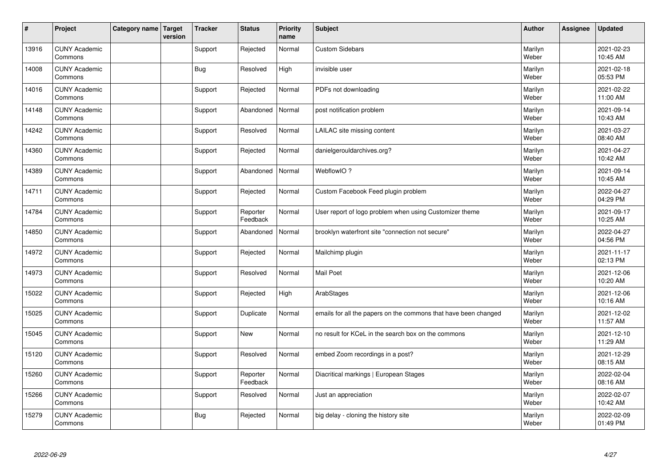| $\vert$ # | Project                         | Category name   Target | version | <b>Tracker</b> | <b>Status</b>        | <b>Priority</b><br>name | <b>Subject</b>                                                  | <b>Author</b>    | Assignee | <b>Updated</b>         |
|-----------|---------------------------------|------------------------|---------|----------------|----------------------|-------------------------|-----------------------------------------------------------------|------------------|----------|------------------------|
| 13916     | <b>CUNY Academic</b><br>Commons |                        |         | Support        | Rejected             | Normal                  | <b>Custom Sidebars</b>                                          | Marilyn<br>Weber |          | 2021-02-23<br>10:45 AM |
| 14008     | <b>CUNY Academic</b><br>Commons |                        |         | Bug            | Resolved             | High                    | invisible user                                                  | Marilyn<br>Weber |          | 2021-02-18<br>05:53 PM |
| 14016     | <b>CUNY Academic</b><br>Commons |                        |         | Support        | Rejected             | Normal                  | PDFs not downloading                                            | Marilyn<br>Weber |          | 2021-02-22<br>11:00 AM |
| 14148     | <b>CUNY Academic</b><br>Commons |                        |         | Support        | Abandoned            | Normal                  | post notification problem                                       | Marilyn<br>Weber |          | 2021-09-14<br>10:43 AM |
| 14242     | <b>CUNY Academic</b><br>Commons |                        |         | Support        | Resolved             | Normal                  | LAILAC site missing content                                     | Marilyn<br>Weber |          | 2021-03-27<br>08:40 AM |
| 14360     | <b>CUNY Academic</b><br>Commons |                        |         | Support        | Rejected             | Normal                  | danielgerouldarchives.org?                                      | Marilyn<br>Weber |          | 2021-04-27<br>10:42 AM |
| 14389     | <b>CUNY Academic</b><br>Commons |                        |         | Support        | Abandoned            | Normal                  | WebflowIO?                                                      | Marilyn<br>Weber |          | 2021-09-14<br>10:45 AM |
| 14711     | <b>CUNY Academic</b><br>Commons |                        |         | Support        | Rejected             | Normal                  | Custom Facebook Feed plugin problem                             | Marilyn<br>Weber |          | 2022-04-27<br>04:29 PM |
| 14784     | <b>CUNY Academic</b><br>Commons |                        |         | Support        | Reporter<br>Feedback | Normal                  | User report of logo problem when using Customizer theme         | Marilyn<br>Weber |          | 2021-09-17<br>10:25 AM |
| 14850     | <b>CUNY Academic</b><br>Commons |                        |         | Support        | Abandoned            | Normal                  | brooklyn waterfront site "connection not secure"                | Marilyn<br>Weber |          | 2022-04-27<br>04:56 PM |
| 14972     | <b>CUNY Academic</b><br>Commons |                        |         | Support        | Rejected             | Normal                  | Mailchimp plugin                                                | Marilyn<br>Weber |          | 2021-11-17<br>02:13 PM |
| 14973     | <b>CUNY Academic</b><br>Commons |                        |         | Support        | Resolved             | Normal                  | <b>Mail Poet</b>                                                | Marilyn<br>Weber |          | 2021-12-06<br>10:20 AM |
| 15022     | <b>CUNY Academic</b><br>Commons |                        |         | Support        | Rejected             | High                    | ArabStages                                                      | Marilyn<br>Weber |          | 2021-12-06<br>10:16 AM |
| 15025     | <b>CUNY Academic</b><br>Commons |                        |         | Support        | Duplicate            | Normal                  | emails for all the papers on the commons that have been changed | Marilyn<br>Weber |          | 2021-12-02<br>11:57 AM |
| 15045     | <b>CUNY Academic</b><br>Commons |                        |         | Support        | <b>New</b>           | Normal                  | no result for KCeL in the search box on the commons             | Marilyn<br>Weber |          | 2021-12-10<br>11:29 AM |
| 15120     | <b>CUNY Academic</b><br>Commons |                        |         | Support        | Resolved             | Normal                  | embed Zoom recordings in a post?                                | Marilyn<br>Weber |          | 2021-12-29<br>08:15 AM |
| 15260     | <b>CUNY Academic</b><br>Commons |                        |         | Support        | Reporter<br>Feedback | Normal                  | Diacritical markings   European Stages                          | Marilyn<br>Weber |          | 2022-02-04<br>08:16 AM |
| 15266     | <b>CUNY Academic</b><br>Commons |                        |         | Support        | Resolved             | Normal                  | Just an appreciation                                            | Marilyn<br>Weber |          | 2022-02-07<br>10:42 AM |
| 15279     | <b>CUNY Academic</b><br>Commons |                        |         | Bug            | Rejected             | Normal                  | big delay - cloning the history site                            | Marilyn<br>Weber |          | 2022-02-09<br>01:49 PM |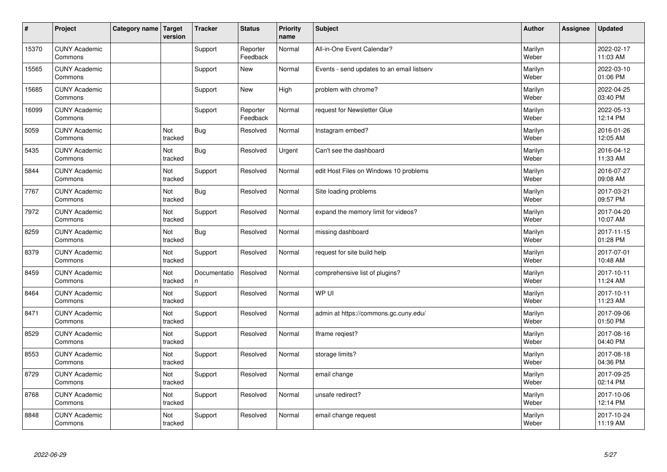| $\vert$ # | Project                         | Category name   Target | version        | <b>Tracker</b>     | <b>Status</b>        | <b>Priority</b><br>name | <b>Subject</b>                             | <b>Author</b>    | <b>Assignee</b> | <b>Updated</b>         |
|-----------|---------------------------------|------------------------|----------------|--------------------|----------------------|-------------------------|--------------------------------------------|------------------|-----------------|------------------------|
| 15370     | <b>CUNY Academic</b><br>Commons |                        |                | Support            | Reporter<br>Feedback | Normal                  | All-in-One Event Calendar?                 | Marilyn<br>Weber |                 | 2022-02-17<br>11:03 AM |
| 15565     | <b>CUNY Academic</b><br>Commons |                        |                | Support            | <b>New</b>           | Normal                  | Events - send updates to an email listserv | Marilyn<br>Weber |                 | 2022-03-10<br>01:06 PM |
| 15685     | <b>CUNY Academic</b><br>Commons |                        |                | Support            | <b>New</b>           | High                    | problem with chrome?                       | Marilyn<br>Weber |                 | 2022-04-25<br>03:40 PM |
| 16099     | <b>CUNY Academic</b><br>Commons |                        |                | Support            | Reporter<br>Feedback | Normal                  | request for Newsletter Glue                | Marilyn<br>Weber |                 | 2022-05-13<br>12:14 PM |
| 5059      | <b>CUNY Academic</b><br>Commons |                        | Not<br>tracked | <b>Bug</b>         | Resolved             | Normal                  | Instagram embed?                           | Marilyn<br>Weber |                 | 2016-01-26<br>12:05 AM |
| 5435      | <b>CUNY Academic</b><br>Commons |                        | Not<br>tracked | <b>Bug</b>         | Resolved             | Urgent                  | Can't see the dashboard                    | Marilyn<br>Weber |                 | 2016-04-12<br>11:33 AM |
| 5844      | <b>CUNY Academic</b><br>Commons |                        | Not<br>tracked | Support            | Resolved             | Normal                  | edit Host Files on Windows 10 problems     | Marilyn<br>Weber |                 | 2016-07-27<br>09:08 AM |
| 7767      | <b>CUNY Academic</b><br>Commons |                        | Not<br>tracked | <b>Bug</b>         | Resolved             | Normal                  | Site loading problems                      | Marilyn<br>Weber |                 | 2017-03-21<br>09:57 PM |
| 7972      | <b>CUNY Academic</b><br>Commons |                        | Not<br>tracked | Support            | Resolved             | Normal                  | expand the memory limit for videos?        | Marilyn<br>Weber |                 | 2017-04-20<br>10:07 AM |
| 8259      | <b>CUNY Academic</b><br>Commons |                        | Not<br>tracked | <b>Bug</b>         | Resolved             | Normal                  | missing dashboard                          | Marilyn<br>Weber |                 | 2017-11-15<br>01:28 PM |
| 8379      | <b>CUNY Academic</b><br>Commons |                        | Not<br>tracked | Support            | Resolved             | Normal                  | request for site build help                | Marilyn<br>Weber |                 | 2017-07-01<br>10:48 AM |
| 8459      | <b>CUNY Academic</b><br>Commons |                        | Not<br>tracked | Documentatio<br>n. | Resolved             | Normal                  | comprehensive list of plugins?             | Marilyn<br>Weber |                 | 2017-10-11<br>11:24 AM |
| 8464      | <b>CUNY Academic</b><br>Commons |                        | Not<br>tracked | Support            | Resolved             | Normal                  | WP UI                                      | Marilyn<br>Weber |                 | 2017-10-11<br>11:23 AM |
| 8471      | <b>CUNY Academic</b><br>Commons |                        | Not<br>tracked | Support            | Resolved             | Normal                  | admin at https://commons.gc.cuny.edu/      | Marilyn<br>Weber |                 | 2017-09-06<br>01:50 PM |
| 8529      | <b>CUNY Academic</b><br>Commons |                        | Not<br>tracked | Support            | Resolved             | Normal                  | Iframe regiest?                            | Marilyn<br>Weber |                 | 2017-08-16<br>04:40 PM |
| 8553      | <b>CUNY Academic</b><br>Commons |                        | Not<br>tracked | Support            | Resolved             | Normal                  | storage limits?                            | Marilyn<br>Weber |                 | 2017-08-18<br>04:36 PM |
| 8729      | <b>CUNY Academic</b><br>Commons |                        | Not<br>tracked | Support            | Resolved             | Normal                  | email change                               | Marilyn<br>Weber |                 | 2017-09-25<br>02:14 PM |
| 8768      | <b>CUNY Academic</b><br>Commons |                        | Not<br>tracked | Support            | Resolved             | Normal                  | unsafe redirect?                           | Marilyn<br>Weber |                 | 2017-10-06<br>12:14 PM |
| 8848      | <b>CUNY Academic</b><br>Commons |                        | Not<br>tracked | Support            | Resolved             | Normal                  | email change request                       | Marilyn<br>Weber |                 | 2017-10-24<br>11:19 AM |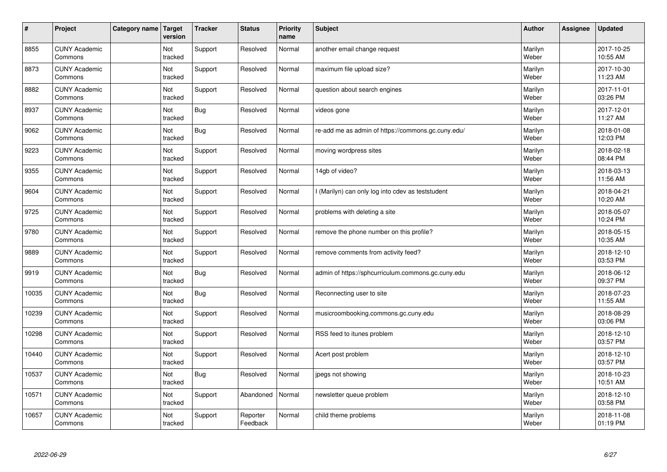| $\sharp$ | Project                         | Category name | Target<br>version | <b>Tracker</b> | <b>Status</b>        | <b>Priority</b><br>name | <b>Subject</b>                                     | <b>Author</b>    | Assignee | <b>Updated</b>         |
|----------|---------------------------------|---------------|-------------------|----------------|----------------------|-------------------------|----------------------------------------------------|------------------|----------|------------------------|
| 8855     | <b>CUNY Academic</b><br>Commons |               | Not<br>tracked    | Support        | Resolved             | Normal                  | another email change request                       | Marilyn<br>Weber |          | 2017-10-25<br>10:55 AM |
| 8873     | <b>CUNY Academic</b><br>Commons |               | Not<br>tracked    | Support        | Resolved             | Normal                  | maximum file upload size?                          | Marilyn<br>Weber |          | 2017-10-30<br>11:23 AM |
| 8882     | <b>CUNY Academic</b><br>Commons |               | Not<br>tracked    | Support        | Resolved             | Normal                  | question about search engines                      | Marilyn<br>Weber |          | 2017-11-01<br>03:26 PM |
| 8937     | <b>CUNY Academic</b><br>Commons |               | Not<br>tracked    | <b>Bug</b>     | Resolved             | Normal                  | videos gone                                        | Marilyn<br>Weber |          | 2017-12-01<br>11:27 AM |
| 9062     | <b>CUNY Academic</b><br>Commons |               | Not<br>tracked    | Bug            | Resolved             | Normal                  | re-add me as admin of https://commons.gc.cuny.edu/ | Marilyn<br>Weber |          | 2018-01-08<br>12:03 PM |
| 9223     | <b>CUNY Academic</b><br>Commons |               | Not<br>tracked    | Support        | Resolved             | Normal                  | moving wordpress sites                             | Marilyn<br>Weber |          | 2018-02-18<br>08:44 PM |
| 9355     | <b>CUNY Academic</b><br>Commons |               | Not<br>tracked    | Support        | Resolved             | Normal                  | 14gb of video?                                     | Marilyn<br>Weber |          | 2018-03-13<br>11:56 AM |
| 9604     | <b>CUNY Academic</b><br>Commons |               | Not<br>tracked    | Support        | Resolved             | Normal                  | I (Marilyn) can only log into cdev as teststudent  | Marilyn<br>Weber |          | 2018-04-21<br>10:20 AM |
| 9725     | <b>CUNY Academic</b><br>Commons |               | Not<br>tracked    | Support        | Resolved             | Normal                  | problems with deleting a site                      | Marilyn<br>Weber |          | 2018-05-07<br>10:24 PM |
| 9780     | <b>CUNY Academic</b><br>Commons |               | Not<br>tracked    | Support        | Resolved             | Normal                  | remove the phone number on this profile?           | Marilyn<br>Weber |          | 2018-05-15<br>10:35 AM |
| 9889     | <b>CUNY Academic</b><br>Commons |               | Not<br>tracked    | Support        | Resolved             | Normal                  | remove comments from activity feed?                | Marilyn<br>Weber |          | 2018-12-10<br>03:53 PM |
| 9919     | <b>CUNY Academic</b><br>Commons |               | Not<br>tracked    | <b>Bug</b>     | Resolved             | Normal                  | admin of https://sphcurriculum.commons.gc.cuny.edu | Marilyn<br>Weber |          | 2018-06-12<br>09:37 PM |
| 10035    | <b>CUNY Academic</b><br>Commons |               | Not<br>tracked    | <b>Bug</b>     | Resolved             | Normal                  | Reconnecting user to site                          | Marilyn<br>Weber |          | 2018-07-23<br>11:55 AM |
| 10239    | <b>CUNY Academic</b><br>Commons |               | Not<br>tracked    | Support        | Resolved             | Normal                  | musicroombooking.commons.gc.cuny.edu               | Marilyn<br>Weber |          | 2018-08-29<br>03:06 PM |
| 10298    | <b>CUNY Academic</b><br>Commons |               | Not<br>tracked    | Support        | Resolved             | Normal                  | RSS feed to itunes problem                         | Marilyn<br>Weber |          | 2018-12-10<br>03:57 PM |
| 10440    | <b>CUNY Academic</b><br>Commons |               | Not<br>tracked    | Support        | Resolved             | Normal                  | Acert post problem                                 | Marilyn<br>Weber |          | 2018-12-10<br>03:57 PM |
| 10537    | <b>CUNY Academic</b><br>Commons |               | Not<br>tracked    | <b>Bug</b>     | Resolved             | Normal                  | jpegs not showing                                  | Marilyn<br>Weber |          | 2018-10-23<br>10:51 AM |
| 10571    | <b>CUNY Academic</b><br>Commons |               | Not<br>tracked    | Support        | Abandoned            | Normal                  | newsletter queue problem                           | Marilyn<br>Weber |          | 2018-12-10<br>03:58 PM |
| 10657    | <b>CUNY Academic</b><br>Commons |               | Not<br>tracked    | Support        | Reporter<br>Feedback | Normal                  | child theme problems                               | Marilyn<br>Weber |          | 2018-11-08<br>01:19 PM |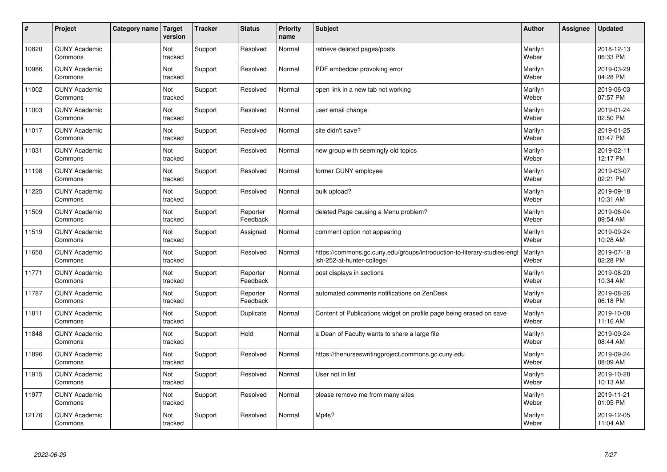| $\sharp$ | Project                         | Category name | Target<br>version | <b>Tracker</b> | <b>Status</b>        | <b>Priority</b><br>name | <b>Subject</b>                                                                                         | <b>Author</b>    | Assignee | <b>Updated</b>         |
|----------|---------------------------------|---------------|-------------------|----------------|----------------------|-------------------------|--------------------------------------------------------------------------------------------------------|------------------|----------|------------------------|
| 10820    | <b>CUNY Academic</b><br>Commons |               | Not<br>tracked    | Support        | Resolved             | Normal                  | retrieve deleted pages/posts                                                                           | Marilyn<br>Weber |          | 2018-12-13<br>06:33 PM |
| 10986    | <b>CUNY Academic</b><br>Commons |               | Not<br>tracked    | Support        | Resolved             | Normal                  | PDF embedder provoking error                                                                           | Marilyn<br>Weber |          | 2019-03-29<br>04:28 PM |
| 11002    | <b>CUNY Academic</b><br>Commons |               | Not<br>tracked    | Support        | Resolved             | Normal                  | open link in a new tab not working                                                                     | Marilyn<br>Weber |          | 2019-06-03<br>07:57 PM |
| 11003    | <b>CUNY Academic</b><br>Commons |               | Not<br>tracked    | Support        | Resolved             | Normal                  | user email change                                                                                      | Marilyn<br>Weber |          | 2019-01-24<br>02:50 PM |
| 11017    | <b>CUNY Academic</b><br>Commons |               | Not<br>tracked    | Support        | Resolved             | Normal                  | site didn't save?                                                                                      | Marilyn<br>Weber |          | 2019-01-25<br>03:47 PM |
| 11031    | <b>CUNY Academic</b><br>Commons |               | Not<br>tracked    | Support        | Resolved             | Normal                  | new group with seemingly old topics                                                                    | Marilyn<br>Weber |          | 2019-02-11<br>12:17 PM |
| 11198    | <b>CUNY Academic</b><br>Commons |               | Not<br>tracked    | Support        | Resolved             | Normal                  | former CUNY employee                                                                                   | Marilyn<br>Weber |          | 2019-03-07<br>02:21 PM |
| 11225    | <b>CUNY Academic</b><br>Commons |               | Not<br>tracked    | Support        | Resolved             | Normal                  | bulk upload?                                                                                           | Marilyn<br>Weber |          | 2019-09-18<br>10:31 AM |
| 11509    | <b>CUNY Academic</b><br>Commons |               | Not<br>tracked    | Support        | Reporter<br>Feedback | Normal                  | deleted Page causing a Menu problem?                                                                   | Marilyn<br>Weber |          | 2019-06-04<br>09:54 AM |
| 11519    | <b>CUNY Academic</b><br>Commons |               | Not<br>tracked    | Support        | Assigned             | Normal                  | comment option not appearing                                                                           | Marilyn<br>Weber |          | 2019-09-24<br>10:28 AM |
| 11650    | <b>CUNY Academic</b><br>Commons |               | Not<br>tracked    | Support        | Resolved             | Normal                  | https://commons.gc.cuny.edu/groups/introduction-to-literary-studies-engl<br>ish-252-at-hunter-college/ | Marilyn<br>Weber |          | 2019-07-18<br>02:28 PM |
| 11771    | <b>CUNY Academic</b><br>Commons |               | Not<br>tracked    | Support        | Reporter<br>Feedback | Normal                  | post displays in sections                                                                              | Marilyn<br>Weber |          | 2019-08-20<br>10:34 AM |
| 11787    | <b>CUNY Academic</b><br>Commons |               | Not<br>tracked    | Support        | Reporter<br>Feedback | Normal                  | automated comments notifications on ZenDesk                                                            | Marilyn<br>Weber |          | 2019-08-26<br>06:18 PM |
| 11811    | <b>CUNY Academic</b><br>Commons |               | Not<br>tracked    | Support        | Duplicate            | Normal                  | Content of Publications widget on profile page being erased on save                                    | Marilyn<br>Weber |          | 2019-10-08<br>11:16 AM |
| 11848    | <b>CUNY Academic</b><br>Commons |               | Not<br>tracked    | Support        | Hold                 | Normal                  | a Dean of Faculty wants to share a large file                                                          | Marilyn<br>Weber |          | 2019-09-24<br>08:44 AM |
| 11896    | <b>CUNY Academic</b><br>Commons |               | Not<br>tracked    | Support        | Resolved             | Normal                  | https://thenurseswritingproject.commons.gc.cuny.edu                                                    | Marilyn<br>Weber |          | 2019-09-24<br>08:09 AM |
| 11915    | <b>CUNY Academic</b><br>Commons |               | Not<br>tracked    | Support        | Resolved             | Normal                  | User not in list                                                                                       | Marilyn<br>Weber |          | 2019-10-28<br>10:13 AM |
| 11977    | <b>CUNY Academic</b><br>Commons |               | Not<br>tracked    | Support        | Resolved             | Normal                  | please remove me from many sites                                                                       | Marilyn<br>Weber |          | 2019-11-21<br>01:05 PM |
| 12176    | <b>CUNY Academic</b><br>Commons |               | Not<br>tracked    | Support        | Resolved             | Normal                  | Mp4s?                                                                                                  | Marilyn<br>Weber |          | 2019-12-05<br>11:04 AM |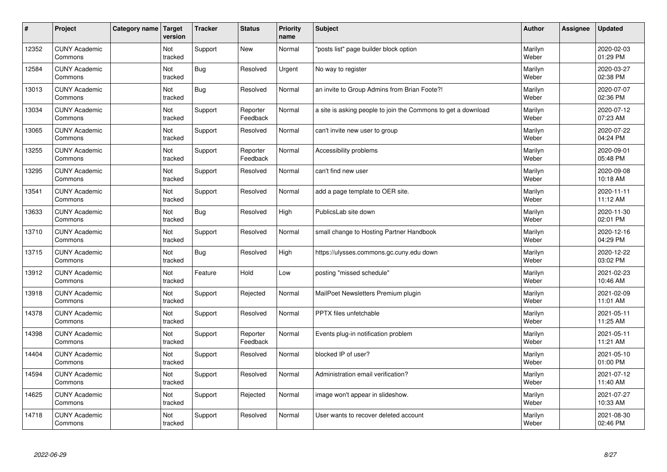| #     | Project                         | Category name | Target<br>version | <b>Tracker</b> | <b>Status</b>        | <b>Priority</b><br>name | <b>Subject</b>                                                | <b>Author</b>    | Assignee | <b>Updated</b>         |
|-------|---------------------------------|---------------|-------------------|----------------|----------------------|-------------------------|---------------------------------------------------------------|------------------|----------|------------------------|
| 12352 | <b>CUNY Academic</b><br>Commons |               | Not<br>tracked    | Support        | <b>New</b>           | Normal                  | "posts list" page builder block option                        | Marilyn<br>Weber |          | 2020-02-03<br>01:29 PM |
| 12584 | <b>CUNY Academic</b><br>Commons |               | Not<br>tracked    | Bug            | Resolved             | Urgent                  | No way to register                                            | Marilyn<br>Weber |          | 2020-03-27<br>02:38 PM |
| 13013 | <b>CUNY Academic</b><br>Commons |               | Not<br>tracked    | <b>Bug</b>     | Resolved             | Normal                  | an invite to Group Admins from Brian Foote?!                  | Marilyn<br>Weber |          | 2020-07-07<br>02:36 PM |
| 13034 | <b>CUNY Academic</b><br>Commons |               | Not<br>tracked    | Support        | Reporter<br>Feedback | Normal                  | a site is asking people to join the Commons to get a download | Marilyn<br>Weber |          | 2020-07-12<br>07:23 AM |
| 13065 | <b>CUNY Academic</b><br>Commons |               | Not<br>tracked    | Support        | Resolved             | Normal                  | can't invite new user to group                                | Marilyn<br>Weber |          | 2020-07-22<br>04:24 PM |
| 13255 | <b>CUNY Academic</b><br>Commons |               | Not<br>tracked    | Support        | Reporter<br>Feedback | Normal                  | Accessibility problems                                        | Marilyn<br>Weber |          | 2020-09-01<br>05:48 PM |
| 13295 | <b>CUNY Academic</b><br>Commons |               | Not<br>tracked    | Support        | Resolved             | Normal                  | can't find new user                                           | Marilyn<br>Weber |          | 2020-09-08<br>10:18 AM |
| 13541 | <b>CUNY Academic</b><br>Commons |               | Not<br>tracked    | Support        | Resolved             | Normal                  | add a page template to OER site.                              | Marilyn<br>Weber |          | 2020-11-11<br>11:12 AM |
| 13633 | <b>CUNY Academic</b><br>Commons |               | Not<br>tracked    | Bug            | Resolved             | High                    | PublicsLab site down                                          | Marilyn<br>Weber |          | 2020-11-30<br>02:01 PM |
| 13710 | <b>CUNY Academic</b><br>Commons |               | Not<br>tracked    | Support        | Resolved             | Normal                  | small change to Hosting Partner Handbook                      | Marilyn<br>Weber |          | 2020-12-16<br>04:29 PM |
| 13715 | <b>CUNY Academic</b><br>Commons |               | Not<br>tracked    | <b>Bug</b>     | Resolved             | High                    | https://ulysses.commons.gc.cuny.edu down                      | Marilyn<br>Weber |          | 2020-12-22<br>03:02 PM |
| 13912 | <b>CUNY Academic</b><br>Commons |               | Not<br>tracked    | Feature        | Hold                 | Low                     | posting "missed schedule"                                     | Marilyn<br>Weber |          | 2021-02-23<br>10:46 AM |
| 13918 | <b>CUNY Academic</b><br>Commons |               | Not<br>tracked    | Support        | Rejected             | Normal                  | MailPoet Newsletters Premium plugin                           | Marilyn<br>Weber |          | 2021-02-09<br>11:01 AM |
| 14378 | <b>CUNY Academic</b><br>Commons |               | Not<br>tracked    | Support        | Resolved             | Normal                  | PPTX files unfetchable                                        | Marilyn<br>Weber |          | 2021-05-11<br>11:25 AM |
| 14398 | <b>CUNY Academic</b><br>Commons |               | Not<br>tracked    | Support        | Reporter<br>Feedback | Normal                  | Events plug-in notification problem                           | Marilyn<br>Weber |          | 2021-05-11<br>11:21 AM |
| 14404 | <b>CUNY Academic</b><br>Commons |               | Not<br>tracked    | Support        | Resolved             | Normal                  | blocked IP of user?                                           | Marilyn<br>Weber |          | 2021-05-10<br>01:00 PM |
| 14594 | <b>CUNY Academic</b><br>Commons |               | Not<br>tracked    | Support        | Resolved             | Normal                  | Administration email verification?                            | Marilyn<br>Weber |          | 2021-07-12<br>11:40 AM |
| 14625 | <b>CUNY Academic</b><br>Commons |               | Not<br>tracked    | Support        | Rejected             | Normal                  | image won't appear in slideshow.                              | Marilyn<br>Weber |          | 2021-07-27<br>10:33 AM |
| 14718 | <b>CUNY Academic</b><br>Commons |               | Not<br>tracked    | Support        | Resolved             | Normal                  | User wants to recover deleted account                         | Marilyn<br>Weber |          | 2021-08-30<br>02:46 PM |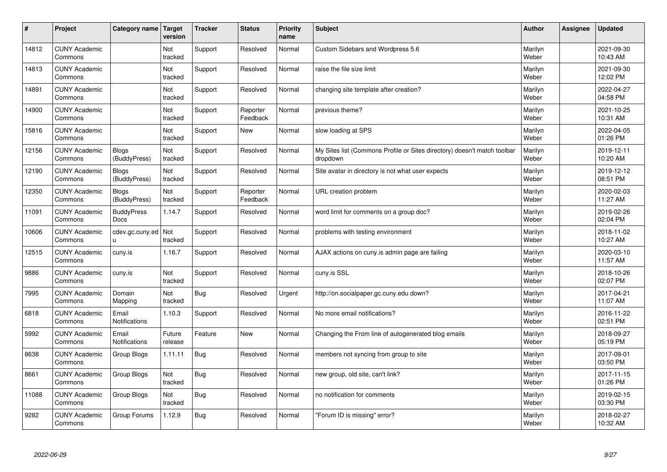| #     | Project                         | Category name                | Target<br>version | <b>Tracker</b> | <b>Status</b>        | <b>Priority</b><br>name | <b>Subject</b>                                                                       | <b>Author</b>    | Assignee | <b>Updated</b>         |
|-------|---------------------------------|------------------------------|-------------------|----------------|----------------------|-------------------------|--------------------------------------------------------------------------------------|------------------|----------|------------------------|
| 14812 | <b>CUNY Academic</b><br>Commons |                              | Not<br>tracked    | Support        | Resolved             | Normal                  | <b>Custom Sidebars and Wordpress 5.6</b>                                             | Marilyn<br>Weber |          | 2021-09-30<br>10:43 AM |
| 14813 | <b>CUNY Academic</b><br>Commons |                              | Not<br>tracked    | Support        | Resolved             | Normal                  | raise the file size limit                                                            | Marilyn<br>Weber |          | 2021-09-30<br>12:02 PM |
| 14891 | <b>CUNY Academic</b><br>Commons |                              | Not<br>tracked    | Support        | Resolved             | Normal                  | changing site template after creation?                                               | Marilyn<br>Weber |          | 2022-04-27<br>04:58 PM |
| 14900 | <b>CUNY Academic</b><br>Commons |                              | Not<br>tracked    | Support        | Reporter<br>Feedback | Normal                  | previous theme?                                                                      | Marilyn<br>Weber |          | 2021-10-25<br>10:31 AM |
| 15816 | <b>CUNY Academic</b><br>Commons |                              | Not<br>tracked    | Support        | New                  | Normal                  | slow loading at SPS                                                                  | Marilyn<br>Weber |          | 2022-04-05<br>01:26 PM |
| 12156 | <b>CUNY Academic</b><br>Commons | <b>Blogs</b><br>(BuddyPress) | Not<br>tracked    | Support        | Resolved             | Normal                  | My Sites list (Commons Profile or Sites directory) doesn't match toolbar<br>dropdown | Marilyn<br>Weber |          | 2019-12-11<br>10:20 AM |
| 12190 | <b>CUNY Academic</b><br>Commons | <b>Blogs</b><br>(BuddyPress) | Not<br>tracked    | Support        | Resolved             | Normal                  | Site avatar in directory is not what user expects                                    | Marilyn<br>Weber |          | 2019-12-12<br>08:51 PM |
| 12350 | <b>CUNY Academic</b><br>Commons | <b>Blogs</b><br>(BuddyPress) | Not<br>tracked    | Support        | Reporter<br>Feedback | Normal                  | URL creation problem                                                                 | Marilyn<br>Weber |          | 2020-02-03<br>11:27 AM |
| 11091 | <b>CUNY Academic</b><br>Commons | <b>BuddyPress</b><br>Docs    | 1.14.7            | Support        | Resolved             | Normal                  | word limit for comments on a group doc?                                              | Marilyn<br>Weber |          | 2019-02-26<br>02:04 PM |
| 10606 | <b>CUNY Academic</b><br>Commons | cdev.gc.cuny.ed<br>u         | Not<br>tracked    | Support        | Resolved             | Normal                  | problems with testing environment                                                    | Marilyn<br>Weber |          | 2018-11-02<br>10:27 AM |
| 12515 | <b>CUNY Academic</b><br>Commons | cuny.is                      | 1.16.7            | Support        | Resolved             | Normal                  | AJAX actions on cuny is admin page are failing                                       | Marilyn<br>Weber |          | 2020-03-10<br>11:57 AM |
| 9886  | <b>CUNY Academic</b><br>Commons | cuny.is                      | Not<br>tracked    | Support        | Resolved             | Normal                  | cuny.is SSL                                                                          | Marilyn<br>Weber |          | 2018-10-26<br>02:07 PM |
| 7995  | <b>CUNY Academic</b><br>Commons | Domain<br>Mapping            | Not<br>tracked    | Bug            | Resolved             | Urgent                  | http://on.socialpaper.gc.cuny.edu down?                                              | Marilyn<br>Weber |          | 2017-04-21<br>11:07 AM |
| 6818  | <b>CUNY Academic</b><br>Commons | Email<br>Notifications       | 1.10.3            | Support        | Resolved             | Normal                  | No more email notifications?                                                         | Marilyn<br>Weber |          | 2016-11-22<br>02:51 PM |
| 5992  | <b>CUNY Academic</b><br>Commons | Email<br>Notifications       | Future<br>release | Feature        | <b>New</b>           | Normal                  | Changing the From line of autogenerated blog emails                                  | Marilyn<br>Weber |          | 2018-09-27<br>05:19 PM |
| 8638  | <b>CUNY Academic</b><br>Commons | Group Blogs                  | 1.11.11           | <b>Bug</b>     | Resolved             | Normal                  | members not syncing from group to site                                               | Marilyn<br>Weber |          | 2017-09-01<br>03:50 PM |
| 8661  | <b>CUNY Academic</b><br>Commons | Group Blogs                  | Not<br>tracked    | <b>Bug</b>     | Resolved             | Normal                  | new group, old site, can't link?                                                     | Marilyn<br>Weber |          | 2017-11-15<br>01:26 PM |
| 11088 | <b>CUNY Academic</b><br>Commons | Group Blogs                  | Not<br>tracked    | Bug            | Resolved             | Normal                  | no notification for comments                                                         | Marilyn<br>Weber |          | 2019-02-15<br>03:30 PM |
| 9282  | <b>CUNY Academic</b><br>Commons | Group Forums                 | 1.12.9            | Bug            | Resolved             | Normal                  | 'Forum ID is missing" error?                                                         | Marilyn<br>Weber |          | 2018-02-27<br>10:32 AM |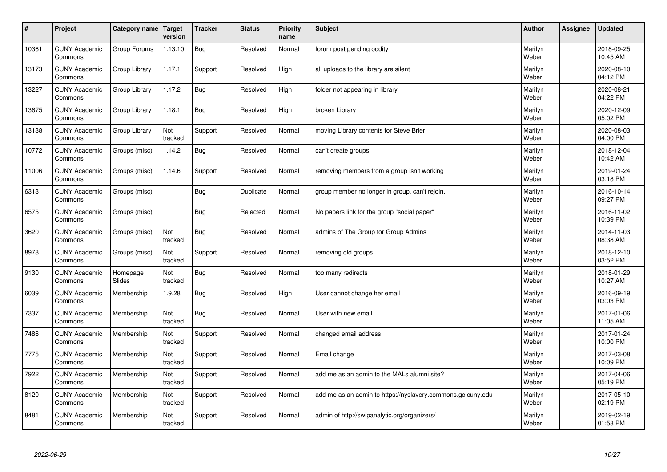| #     | Project                         | Category name   Target | version        | <b>Tracker</b> | <b>Status</b> | <b>Priority</b><br>name | <b>Subject</b>                                              | <b>Author</b>    | Assignee | <b>Updated</b>         |
|-------|---------------------------------|------------------------|----------------|----------------|---------------|-------------------------|-------------------------------------------------------------|------------------|----------|------------------------|
| 10361 | <b>CUNY Academic</b><br>Commons | Group Forums           | 1.13.10        | Bug            | Resolved      | Normal                  | forum post pending oddity                                   | Marilyn<br>Weber |          | 2018-09-25<br>10:45 AM |
| 13173 | <b>CUNY Academic</b><br>Commons | Group Library          | 1.17.1         | Support        | Resolved      | High                    | all uploads to the library are silent                       | Marilyn<br>Weber |          | 2020-08-10<br>04:12 PM |
| 13227 | <b>CUNY Academic</b><br>Commons | Group Library          | 1.17.2         | <b>Bug</b>     | Resolved      | High                    | folder not appearing in library                             | Marilyn<br>Weber |          | 2020-08-21<br>04:22 PM |
| 13675 | <b>CUNY Academic</b><br>Commons | Group Library          | 1.18.1         | Bug            | Resolved      | High                    | broken Library                                              | Marilyn<br>Weber |          | 2020-12-09<br>05:02 PM |
| 13138 | <b>CUNY Academic</b><br>Commons | Group Library          | Not<br>tracked | Support        | Resolved      | Normal                  | moving Library contents for Steve Brier                     | Marilyn<br>Weber |          | 2020-08-03<br>04:00 PM |
| 10772 | <b>CUNY Academic</b><br>Commons | Groups (misc)          | 1.14.2         | <b>Bug</b>     | Resolved      | Normal                  | can't create groups                                         | Marilyn<br>Weber |          | 2018-12-04<br>10:42 AM |
| 11006 | <b>CUNY Academic</b><br>Commons | Groups (misc)          | 1.14.6         | Support        | Resolved      | Normal                  | removing members from a group isn't working                 | Marilyn<br>Weber |          | 2019-01-24<br>03:18 PM |
| 6313  | <b>CUNY Academic</b><br>Commons | Groups (misc)          |                | Bug            | Duplicate     | Normal                  | group member no longer in group, can't rejoin.              | Marilyn<br>Weber |          | 2016-10-14<br>09:27 PM |
| 6575  | <b>CUNY Academic</b><br>Commons | Groups (misc)          |                | <b>Bug</b>     | Rejected      | Normal                  | No papers link for the group "social paper"                 | Marilyn<br>Weber |          | 2016-11-02<br>10:39 PM |
| 3620  | <b>CUNY Academic</b><br>Commons | Groups (misc)          | Not<br>tracked | <b>Bug</b>     | Resolved      | Normal                  | admins of The Group for Group Admins                        | Marilyn<br>Weber |          | 2014-11-03<br>08:38 AM |
| 8978  | <b>CUNY Academic</b><br>Commons | Groups (misc)          | Not<br>tracked | Support        | Resolved      | Normal                  | removing old groups                                         | Marilyn<br>Weber |          | 2018-12-10<br>03:52 PM |
| 9130  | <b>CUNY Academic</b><br>Commons | Homepage<br>Slides     | Not<br>tracked | <b>Bug</b>     | Resolved      | Normal                  | too many redirects                                          | Marilyn<br>Weber |          | 2018-01-29<br>10:27 AM |
| 6039  | <b>CUNY Academic</b><br>Commons | Membership             | 1.9.28         | Bug            | Resolved      | High                    | User cannot change her email                                | Marilyn<br>Weber |          | 2016-09-19<br>03:03 PM |
| 7337  | <b>CUNY Academic</b><br>Commons | Membership             | Not<br>tracked | <b>Bug</b>     | Resolved      | Normal                  | User with new email                                         | Marilyn<br>Weber |          | 2017-01-06<br>11:05 AM |
| 7486  | <b>CUNY Academic</b><br>Commons | Membership             | Not<br>tracked | Support        | Resolved      | Normal                  | changed email address                                       | Marilyn<br>Weber |          | 2017-01-24<br>10:00 PM |
| 7775  | <b>CUNY Academic</b><br>Commons | Membership             | Not<br>tracked | Support        | Resolved      | Normal                  | Email change                                                | Marilyn<br>Weber |          | 2017-03-08<br>10:09 PM |
| 7922  | <b>CUNY Academic</b><br>Commons | Membership             | Not<br>tracked | Support        | Resolved      | Normal                  | add me as an admin to the MALs alumni site?                 | Marilyn<br>Weber |          | 2017-04-06<br>05:19 PM |
| 8120  | <b>CUNY Academic</b><br>Commons | Membership             | Not<br>tracked | Support        | Resolved      | Normal                  | add me as an admin to https://nyslavery.commons.gc.cuny.edu | Marilyn<br>Weber |          | 2017-05-10<br>02:19 PM |
| 8481  | <b>CUNY Academic</b><br>Commons | Membership             | Not<br>tracked | Support        | Resolved      | Normal                  | admin of http://swipanalytic.org/organizers/                | Marilyn<br>Weber |          | 2019-02-19<br>01:58 PM |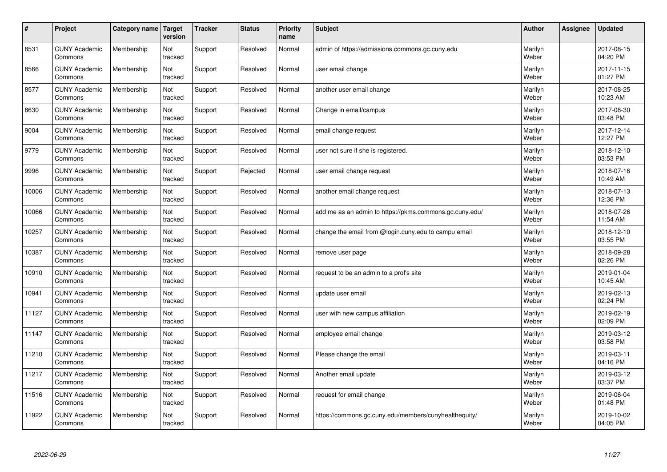| #     | Project                         | Category name | Target<br>version | <b>Tracker</b> | <b>Status</b> | <b>Priority</b><br>name | <b>Subject</b>                                          | <b>Author</b>    | Assignee | <b>Updated</b>         |
|-------|---------------------------------|---------------|-------------------|----------------|---------------|-------------------------|---------------------------------------------------------|------------------|----------|------------------------|
| 8531  | <b>CUNY Academic</b><br>Commons | Membership    | Not<br>tracked    | Support        | Resolved      | Normal                  | admin of https://admissions.commons.gc.cuny.edu         | Marilyn<br>Weber |          | 2017-08-15<br>04:20 PM |
| 8566  | <b>CUNY Academic</b><br>Commons | Membership    | Not<br>tracked    | Support        | Resolved      | Normal                  | user email change                                       | Marilyn<br>Weber |          | 2017-11-15<br>01:27 PM |
| 8577  | <b>CUNY Academic</b><br>Commons | Membership    | Not<br>tracked    | Support        | Resolved      | Normal                  | another user email change                               | Marilyn<br>Weber |          | 2017-08-25<br>10:23 AM |
| 8630  | <b>CUNY Academic</b><br>Commons | Membership    | Not<br>tracked    | Support        | Resolved      | Normal                  | Change in email/campus                                  | Marilyn<br>Weber |          | 2017-08-30<br>03:48 PM |
| 9004  | <b>CUNY Academic</b><br>Commons | Membership    | Not<br>tracked    | Support        | Resolved      | Normal                  | email change request                                    | Marilyn<br>Weber |          | 2017-12-14<br>12:27 PM |
| 9779  | <b>CUNY Academic</b><br>Commons | Membership    | Not<br>tracked    | Support        | Resolved      | Normal                  | user not sure if she is registered.                     | Marilyn<br>Weber |          | 2018-12-10<br>03:53 PM |
| 9996  | <b>CUNY Academic</b><br>Commons | Membership    | Not<br>tracked    | Support        | Rejected      | Normal                  | user email change request                               | Marilyn<br>Weber |          | 2018-07-16<br>10:49 AM |
| 10006 | <b>CUNY Academic</b><br>Commons | Membership    | Not<br>tracked    | Support        | Resolved      | Normal                  | another email change request                            | Marilyn<br>Weber |          | 2018-07-13<br>12:36 PM |
| 10066 | <b>CUNY Academic</b><br>Commons | Membership    | Not<br>tracked    | Support        | Resolved      | Normal                  | add me as an admin to https://pkms.commons.gc.cuny.edu/ | Marilyn<br>Weber |          | 2018-07-26<br>11:54 AM |
| 10257 | <b>CUNY Academic</b><br>Commons | Membership    | Not<br>tracked    | Support        | Resolved      | Normal                  | change the email from @login.cuny.edu to campu email    | Marilyn<br>Weber |          | 2018-12-10<br>03:55 PM |
| 10387 | <b>CUNY Academic</b><br>Commons | Membership    | Not<br>tracked    | Support        | Resolved      | Normal                  | remove user page                                        | Marilyn<br>Weber |          | 2018-09-28<br>02:26 PM |
| 10910 | <b>CUNY Academic</b><br>Commons | Membership    | Not<br>tracked    | Support        | Resolved      | Normal                  | request to be an admin to a prof's site                 | Marilyn<br>Weber |          | 2019-01-04<br>10:45 AM |
| 10941 | <b>CUNY Academic</b><br>Commons | Membership    | Not<br>tracked    | Support        | Resolved      | Normal                  | update user email                                       | Marilyn<br>Weber |          | 2019-02-13<br>02:24 PM |
| 11127 | <b>CUNY Academic</b><br>Commons | Membership    | Not<br>tracked    | Support        | Resolved      | Normal                  | user with new campus affiliation                        | Marilyn<br>Weber |          | 2019-02-19<br>02:09 PM |
| 11147 | <b>CUNY Academic</b><br>Commons | Membership    | Not<br>tracked    | Support        | Resolved      | Normal                  | employee email change                                   | Marilyn<br>Weber |          | 2019-03-12<br>03:58 PM |
| 11210 | <b>CUNY Academic</b><br>Commons | Membership    | Not<br>tracked    | Support        | Resolved      | Normal                  | Please change the email                                 | Marilyn<br>Weber |          | 2019-03-11<br>04:16 PM |
| 11217 | <b>CUNY Academic</b><br>Commons | Membership    | Not<br>tracked    | Support        | Resolved      | Normal                  | Another email update                                    | Marilyn<br>Weber |          | 2019-03-12<br>03:37 PM |
| 11516 | <b>CUNY Academic</b><br>Commons | Membership    | Not<br>tracked    | Support        | Resolved      | Normal                  | request for email change                                | Marilyn<br>Weber |          | 2019-06-04<br>01:48 PM |
| 11922 | <b>CUNY Academic</b><br>Commons | Membership    | Not<br>tracked    | Support        | Resolved      | Normal                  | https://commons.gc.cuny.edu/members/cunyhealthequity/   | Marilyn<br>Weber |          | 2019-10-02<br>04:05 PM |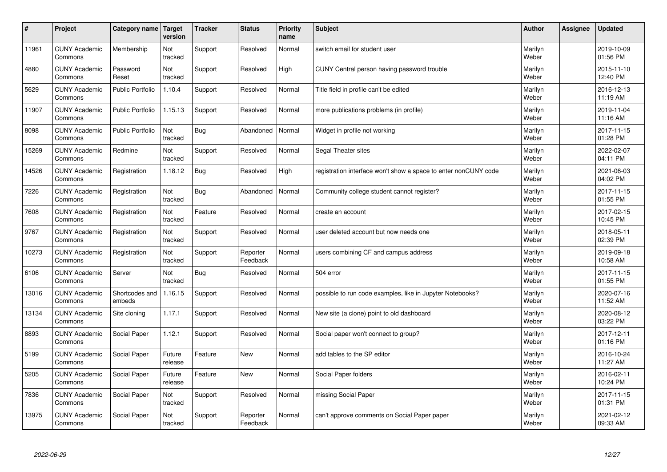| $\pmb{\#}$ | Project                         | Category name            | Target<br>version | <b>Tracker</b> | <b>Status</b>        | <b>Priority</b><br>name | <b>Subject</b>                                                  | <b>Author</b>    | Assignee | <b>Updated</b>         |
|------------|---------------------------------|--------------------------|-------------------|----------------|----------------------|-------------------------|-----------------------------------------------------------------|------------------|----------|------------------------|
| 11961      | <b>CUNY Academic</b><br>Commons | Membership               | Not<br>tracked    | Support        | Resolved             | Normal                  | switch email for student user                                   | Marilyn<br>Weber |          | 2019-10-09<br>01:56 PM |
| 4880       | <b>CUNY Academic</b><br>Commons | Password<br>Reset        | Not<br>tracked    | Support        | Resolved             | High                    | CUNY Central person having password trouble                     | Marilyn<br>Weber |          | 2015-11-10<br>12:40 PM |
| 5629       | <b>CUNY Academic</b><br>Commons | <b>Public Portfolio</b>  | 1.10.4            | Support        | Resolved             | Normal                  | Title field in profile can't be edited                          | Marilyn<br>Weber |          | 2016-12-13<br>11:19 AM |
| 11907      | <b>CUNY Academic</b><br>Commons | <b>Public Portfolio</b>  | 1.15.13           | Support        | Resolved             | Normal                  | more publications problems (in profile)                         | Marilyn<br>Weber |          | 2019-11-04<br>11:16 AM |
| 8098       | <b>CUNY Academic</b><br>Commons | <b>Public Portfolio</b>  | Not<br>tracked    | Bug            | Abandoned            | Normal                  | Widget in profile not working                                   | Marilyn<br>Weber |          | 2017-11-15<br>01:28 PM |
| 15269      | <b>CUNY Academic</b><br>Commons | Redmine                  | Not<br>tracked    | Support        | Resolved             | Normal                  | Segal Theater sites                                             | Marilyn<br>Weber |          | 2022-02-07<br>04:11 PM |
| 14526      | <b>CUNY Academic</b><br>Commons | Registration             | 1.18.12           | <b>Bug</b>     | Resolved             | High                    | registration interface won't show a space to enter nonCUNY code | Marilyn<br>Weber |          | 2021-06-03<br>04:02 PM |
| 7226       | <b>CUNY Academic</b><br>Commons | Registration             | Not<br>tracked    | <b>Bug</b>     | Abandoned            | Normal                  | Community college student cannot register?                      | Marilyn<br>Weber |          | 2017-11-15<br>01:55 PM |
| 7608       | <b>CUNY Academic</b><br>Commons | Registration             | Not<br>tracked    | Feature        | Resolved             | Normal                  | create an account                                               | Marilyn<br>Weber |          | 2017-02-15<br>10:45 PM |
| 9767       | <b>CUNY Academic</b><br>Commons | Registration             | Not<br>tracked    | Support        | Resolved             | Normal                  | user deleted account but now needs one                          | Marilyn<br>Weber |          | 2018-05-11<br>02:39 PM |
| 10273      | <b>CUNY Academic</b><br>Commons | Registration             | Not<br>tracked    | Support        | Reporter<br>Feedback | Normal                  | users combining CF and campus address                           | Marilyn<br>Weber |          | 2019-09-18<br>10:58 AM |
| 6106       | <b>CUNY Academic</b><br>Commons | Server                   | Not<br>tracked    | <b>Bug</b>     | Resolved             | Normal                  | 504 error                                                       | Marilyn<br>Weber |          | 2017-11-15<br>01:55 PM |
| 13016      | <b>CUNY Academic</b><br>Commons | Shortcodes and<br>embeds | 1.16.15           | Support        | Resolved             | Normal                  | possible to run code examples, like in Jupyter Notebooks?       | Marilyn<br>Weber |          | 2020-07-16<br>11:52 AM |
| 13134      | <b>CUNY Academic</b><br>Commons | Site cloning             | 1.17.1            | Support        | Resolved             | Normal                  | New site (a clone) point to old dashboard                       | Marilyn<br>Weber |          | 2020-08-12<br>03:22 PM |
| 8893       | <b>CUNY Academic</b><br>Commons | Social Paper             | 1.12.1            | Support        | Resolved             | Normal                  | Social paper won't connect to group?                            | Marilyn<br>Weber |          | 2017-12-11<br>01:16 PM |
| 5199       | <b>CUNY Academic</b><br>Commons | Social Paper             | Future<br>release | Feature        | <b>New</b>           | Normal                  | add tables to the SP editor                                     | Marilyn<br>Weber |          | 2016-10-24<br>11:27 AM |
| 5205       | <b>CUNY Academic</b><br>Commons | Social Paper             | Future<br>release | Feature        | New                  | Normal                  | Social Paper folders                                            | Marilyn<br>Weber |          | 2016-02-11<br>10:24 PM |
| 7836       | <b>CUNY Academic</b><br>Commons | Social Paper             | Not<br>tracked    | Support        | Resolved             | Normal                  | missing Social Paper                                            | Marilyn<br>Weber |          | 2017-11-15<br>01:31 PM |
| 13975      | <b>CUNY Academic</b><br>Commons | Social Paper             | Not<br>tracked    | Support        | Reporter<br>Feedback | Normal                  | can't approve comments on Social Paper paper                    | Marilyn<br>Weber |          | 2021-02-12<br>09:33 AM |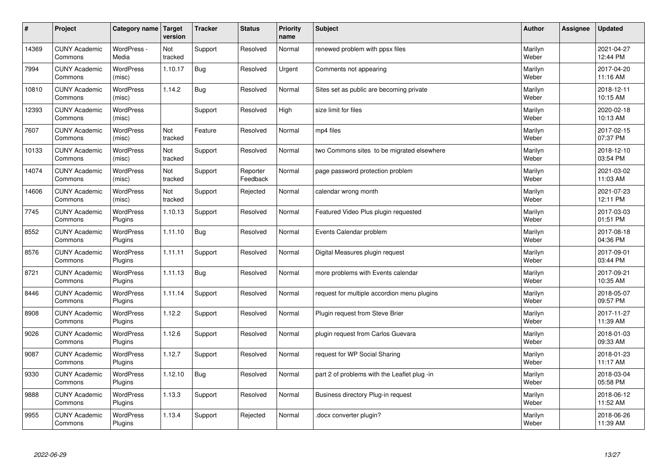| #     | Project                         | Category name               | Target<br>version | <b>Tracker</b> | <b>Status</b>        | <b>Priority</b><br>name | <b>Subject</b>                               | <b>Author</b>    | Assignee | <b>Updated</b>         |
|-------|---------------------------------|-----------------------------|-------------------|----------------|----------------------|-------------------------|----------------------------------------------|------------------|----------|------------------------|
| 14369 | <b>CUNY Academic</b><br>Commons | WordPress -<br>Media        | Not<br>tracked    | Support        | Resolved             | Normal                  | renewed problem with ppsx files              | Marilyn<br>Weber |          | 2021-04-27<br>12:44 PM |
| 7994  | <b>CUNY Academic</b><br>Commons | <b>WordPress</b><br>(misc)  | 1.10.17           | <b>Bug</b>     | Resolved             | Urgent                  | Comments not appearing                       | Marilyn<br>Weber |          | 2017-04-20<br>11:16 AM |
| 10810 | <b>CUNY Academic</b><br>Commons | <b>WordPress</b><br>(misc)  | 1.14.2            | <b>Bug</b>     | Resolved             | Normal                  | Sites set as public are becoming private     | Marilyn<br>Weber |          | 2018-12-11<br>10:15 AM |
| 12393 | <b>CUNY Academic</b><br>Commons | <b>WordPress</b><br>(misc)  |                   | Support        | Resolved             | High                    | size limit for files                         | Marilyn<br>Weber |          | 2020-02-18<br>10:13 AM |
| 7607  | <b>CUNY Academic</b><br>Commons | <b>WordPress</b><br>(misc)  | Not<br>tracked    | Feature        | Resolved             | Normal                  | mp4 files                                    | Marilyn<br>Weber |          | 2017-02-15<br>07:37 PM |
| 10133 | <b>CUNY Academic</b><br>Commons | <b>WordPress</b><br>(misc)  | Not<br>tracked    | Support        | Resolved             | Normal                  | two Commons sites to be migrated elsewhere   | Marilyn<br>Weber |          | 2018-12-10<br>03:54 PM |
| 14074 | <b>CUNY Academic</b><br>Commons | <b>WordPress</b><br>(misc)  | Not<br>tracked    | Support        | Reporter<br>Feedback | Normal                  | page password protection problem             | Marilyn<br>Weber |          | 2021-03-02<br>11:03 AM |
| 14606 | <b>CUNY Academic</b><br>Commons | <b>WordPress</b><br>(misc)  | Not<br>tracked    | Support        | Rejected             | Normal                  | calendar wrong month                         | Marilyn<br>Weber |          | 2021-07-23<br>12:11 PM |
| 7745  | <b>CUNY Academic</b><br>Commons | <b>WordPress</b><br>Plugins | 1.10.13           | Support        | Resolved             | Normal                  | Featured Video Plus plugin requested         | Marilyn<br>Weber |          | 2017-03-03<br>01:51 PM |
| 8552  | <b>CUNY Academic</b><br>Commons | <b>WordPress</b><br>Plugins | 1.11.10           | <b>Bug</b>     | Resolved             | Normal                  | Events Calendar problem                      | Marilyn<br>Weber |          | 2017-08-18<br>04:36 PM |
| 8576  | <b>CUNY Academic</b><br>Commons | WordPress<br>Plugins        | 1.11.11           | Support        | Resolved             | Normal                  | Digital Measures plugin request              | Marilyn<br>Weber |          | 2017-09-01<br>03:44 PM |
| 8721  | <b>CUNY Academic</b><br>Commons | <b>WordPress</b><br>Plugins | 1.11.13           | <b>Bug</b>     | Resolved             | Normal                  | more problems with Events calendar           | Marilyn<br>Weber |          | 2017-09-21<br>10:35 AM |
| 8446  | <b>CUNY Academic</b><br>Commons | <b>WordPress</b><br>Plugins | 1.11.14           | Support        | Resolved             | Normal                  | request for multiple accordion menu plugins  | Marilyn<br>Weber |          | 2018-05-07<br>09:57 PM |
| 8908  | <b>CUNY Academic</b><br>Commons | <b>WordPress</b><br>Plugins | 1.12.2            | Support        | Resolved             | Normal                  | Plugin request from Steve Brier              | Marilyn<br>Weber |          | 2017-11-27<br>11:39 AM |
| 9026  | <b>CUNY Academic</b><br>Commons | <b>WordPress</b><br>Plugins | 1.12.6            | Support        | Resolved             | Normal                  | plugin request from Carlos Guevara           | Marilyn<br>Weber |          | 2018-01-03<br>09:33 AM |
| 9087  | <b>CUNY Academic</b><br>Commons | <b>WordPress</b><br>Plugins | 1.12.7            | Support        | Resolved             | Normal                  | request for WP Social Sharing                | Marilyn<br>Weber |          | 2018-01-23<br>11:17 AM |
| 9330  | <b>CUNY Academic</b><br>Commons | WordPress<br>Plugins        | 1.12.10           | <b>Bug</b>     | Resolved             | Normal                  | part 2 of problems with the Leaflet plug -in | Marilyn<br>Weber |          | 2018-03-04<br>05:58 PM |
| 9888  | <b>CUNY Academic</b><br>Commons | <b>WordPress</b><br>Plugins | 1.13.3            | Support        | Resolved             | Normal                  | Business directory Plug-in request           | Marilyn<br>Weber |          | 2018-06-12<br>11:52 AM |
| 9955  | <b>CUNY Academic</b><br>Commons | WordPress<br>Plugins        | 1.13.4            | Support        | Rejected             | Normal                  | docx converter plugin?                       | Marilyn<br>Weber |          | 2018-06-26<br>11:39 AM |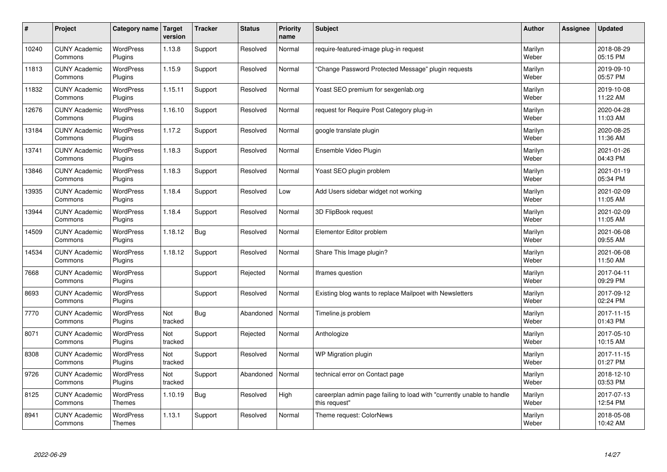| $\pmb{\#}$ | Project                         | Category name                     | Target<br>version | <b>Tracker</b> | <b>Status</b> | <b>Priority</b><br>name | <b>Subject</b>                                                                          | <b>Author</b>    | Assignee | <b>Updated</b>         |
|------------|---------------------------------|-----------------------------------|-------------------|----------------|---------------|-------------------------|-----------------------------------------------------------------------------------------|------------------|----------|------------------------|
| 10240      | <b>CUNY Academic</b><br>Commons | <b>WordPress</b><br>Plugins       | 1.13.8            | Support        | Resolved      | Normal                  | require-featured-image plug-in request                                                  | Marilyn<br>Weber |          | 2018-08-29<br>05:15 PM |
| 11813      | <b>CUNY Academic</b><br>Commons | <b>WordPress</b><br>Plugins       | 1.15.9            | Support        | Resolved      | Normal                  | Change Password Protected Message" plugin requests                                      | Marilyn<br>Weber |          | 2019-09-10<br>05:57 PM |
| 11832      | <b>CUNY Academic</b><br>Commons | <b>WordPress</b><br>Plugins       | 1.15.11           | Support        | Resolved      | Normal                  | Yoast SEO premium for sexgenlab.org                                                     | Marilyn<br>Weber |          | 2019-10-08<br>11:22 AM |
| 12676      | <b>CUNY Academic</b><br>Commons | <b>WordPress</b><br>Plugins       | 1.16.10           | Support        | Resolved      | Normal                  | request for Require Post Category plug-in                                               | Marilyn<br>Weber |          | 2020-04-28<br>11:03 AM |
| 13184      | <b>CUNY Academic</b><br>Commons | <b>WordPress</b><br>Plugins       | 1.17.2            | Support        | Resolved      | Normal                  | google translate plugin                                                                 | Marilyn<br>Weber |          | 2020-08-25<br>11:36 AM |
| 13741      | <b>CUNY Academic</b><br>Commons | WordPress<br>Plugins              | 1.18.3            | Support        | Resolved      | Normal                  | Ensemble Video Plugin                                                                   | Marilyn<br>Weber |          | 2021-01-26<br>04:43 PM |
| 13846      | <b>CUNY Academic</b><br>Commons | <b>WordPress</b><br>Plugins       | 1.18.3            | Support        | Resolved      | Normal                  | Yoast SEO plugin problem                                                                | Marilyn<br>Weber |          | 2021-01-19<br>05:34 PM |
| 13935      | <b>CUNY Academic</b><br>Commons | <b>WordPress</b><br>Plugins       | 1.18.4            | Support        | Resolved      | Low                     | Add Users sidebar widget not working                                                    | Marilyn<br>Weber |          | 2021-02-09<br>11:05 AM |
| 13944      | <b>CUNY Academic</b><br>Commons | <b>WordPress</b><br>Plugins       | 1.18.4            | Support        | Resolved      | Normal                  | 3D FlipBook request                                                                     | Marilyn<br>Weber |          | 2021-02-09<br>11:05 AM |
| 14509      | <b>CUNY Academic</b><br>Commons | WordPress<br>Plugins              | 1.18.12           | <b>Bug</b>     | Resolved      | Normal                  | Elementor Editor problem                                                                | Marilyn<br>Weber |          | 2021-06-08<br>09:55 AM |
| 14534      | <b>CUNY Academic</b><br>Commons | WordPress<br>Plugins              | 1.18.12           | Support        | Resolved      | Normal                  | Share This Image plugin?                                                                | Marilyn<br>Weber |          | 2021-06-08<br>11:50 AM |
| 7668       | <b>CUNY Academic</b><br>Commons | <b>WordPress</b><br>Plugins       |                   | Support        | Rejected      | Normal                  | Iframes question                                                                        | Marilyn<br>Weber |          | 2017-04-11<br>09:29 PM |
| 8693       | <b>CUNY Academic</b><br>Commons | WordPress<br>Plugins              |                   | Support        | Resolved      | Normal                  | Existing blog wants to replace Mailpoet with Newsletters                                | Marilyn<br>Weber |          | 2017-09-12<br>02:24 PM |
| 7770       | <b>CUNY Academic</b><br>Commons | <b>WordPress</b><br>Plugins       | Not<br>tracked    | <b>Bug</b>     | Abandoned     | Normal                  | Timeline.js problem                                                                     | Marilyn<br>Weber |          | 2017-11-15<br>01:43 PM |
| 8071       | <b>CUNY Academic</b><br>Commons | <b>WordPress</b><br>Plugins       | Not<br>tracked    | Support        | Rejected      | Normal                  | Anthologize                                                                             | Marilyn<br>Weber |          | 2017-05-10<br>10:15 AM |
| 8308       | <b>CUNY Academic</b><br>Commons | <b>WordPress</b><br>Plugins       | Not<br>tracked    | Support        | Resolved      | Normal                  | WP Migration plugin                                                                     | Marilyn<br>Weber |          | 2017-11-15<br>01:27 PM |
| 9726       | <b>CUNY Academic</b><br>Commons | WordPress<br>Plugins              | Not<br>tracked    | Support        | Abandoned     | Normal                  | technical error on Contact page                                                         | Marilyn<br>Weber |          | 2018-12-10<br>03:53 PM |
| 8125       | <b>CUNY Academic</b><br>Commons | WordPress<br>Themes               | 1.10.19           | <b>Bug</b>     | Resolved      | High                    | careerplan admin page failing to load with "currently unable to handle<br>this request" | Marilyn<br>Weber |          | 2017-07-13<br>12:54 PM |
| 8941       | <b>CUNY Academic</b><br>Commons | <b>WordPress</b><br><b>Themes</b> | 1.13.1            | Support        | Resolved      | Normal                  | Theme request: ColorNews                                                                | Marilyn<br>Weber |          | 2018-05-08<br>10:42 AM |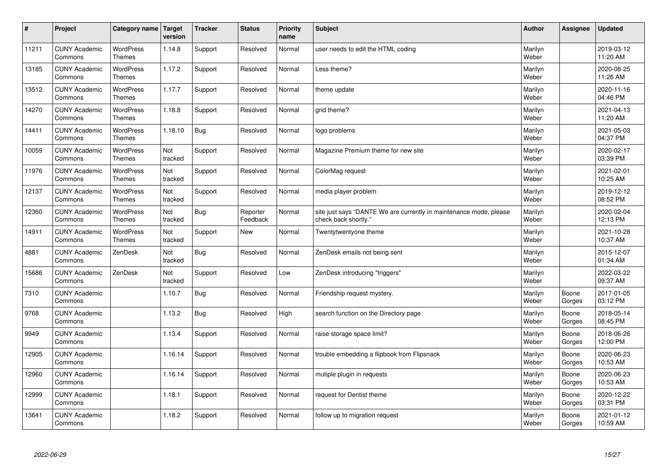| $\sharp$ | Project                         | Category name                     | Target<br>version | <b>Tracker</b> | <b>Status</b>        | <b>Priority</b><br>name | <b>Subject</b>                                                                             | <b>Author</b>    | Assignee        | <b>Updated</b>         |
|----------|---------------------------------|-----------------------------------|-------------------|----------------|----------------------|-------------------------|--------------------------------------------------------------------------------------------|------------------|-----------------|------------------------|
| 11211    | <b>CUNY Academic</b><br>Commons | <b>WordPress</b><br><b>Themes</b> | 1.14.8            | Support        | Resolved             | Normal                  | user needs to edit the HTML coding                                                         | Marilyn<br>Weber |                 | 2019-03-12<br>11:20 AM |
| 13185    | <b>CUNY Academic</b><br>Commons | <b>WordPress</b><br><b>Themes</b> | 1.17.2            | Support        | Resolved             | Normal                  | Less theme?                                                                                | Marilyn<br>Weber |                 | 2020-08-25<br>11:26 AM |
| 13512    | <b>CUNY Academic</b><br>Commons | <b>WordPress</b><br><b>Themes</b> | 1.17.7            | Support        | Resolved             | Normal                  | theme update                                                                               | Marilyn<br>Weber |                 | 2020-11-16<br>04:46 PM |
| 14270    | <b>CUNY Academic</b><br>Commons | <b>WordPress</b><br><b>Themes</b> | 1.18.8            | Support        | Resolved             | Normal                  | grid theme?                                                                                | Marilyn<br>Weber |                 | 2021-04-13<br>11:20 AM |
| 14411    | <b>CUNY Academic</b><br>Commons | <b>WordPress</b><br><b>Themes</b> | 1.18.10           | <b>Bug</b>     | Resolved             | Normal                  | logo problems                                                                              | Marilyn<br>Weber |                 | 2021-05-03<br>04:37 PM |
| 10059    | <b>CUNY Academic</b><br>Commons | <b>WordPress</b><br><b>Themes</b> | Not<br>tracked    | Support        | Resolved             | Normal                  | Magazine Premium theme for new site                                                        | Marilyn<br>Weber |                 | 2020-02-17<br>03:39 PM |
| 11976    | <b>CUNY Academic</b><br>Commons | WordPress<br><b>Themes</b>        | Not<br>tracked    | Support        | Resolved             | Normal                  | ColorMag request                                                                           | Marilyn<br>Weber |                 | 2021-02-01<br>10:25 AM |
| 12137    | <b>CUNY Academic</b><br>Commons | WordPress<br><b>Themes</b>        | Not<br>tracked    | Support        | Resolved             | Normal                  | media player problem                                                                       | Marilyn<br>Weber |                 | 2019-12-12<br>08:52 PM |
| 12360    | <b>CUNY Academic</b><br>Commons | WordPress<br><b>Themes</b>        | Not<br>tracked    | <b>Bug</b>     | Reporter<br>Feedback | Normal                  | site just says "DANTE We are currently in maintenance mode, please<br>check back shortly." | Marilyn<br>Weber |                 | 2020-02-04<br>12:13 PM |
| 14911    | <b>CUNY Academic</b><br>Commons | <b>WordPress</b><br>Themes        | Not<br>tracked    | Support        | <b>New</b>           | Normal                  | Twentytwentyone theme                                                                      | Marilyn<br>Weber |                 | 2021-10-28<br>10:37 AM |
| 4881     | <b>CUNY Academic</b><br>Commons | ZenDesk                           | Not<br>tracked    | <b>Bug</b>     | Resolved             | Normal                  | ZenDesk emails not being sent                                                              | Marilyn<br>Weber |                 | 2015-12-07<br>01:34 AM |
| 15686    | <b>CUNY Academic</b><br>Commons | ZenDesk                           | Not<br>tracked    | Support        | Resolved             | Low                     | ZenDesk introducing "triggers"                                                             | Marilyn<br>Weber |                 | 2022-03-22<br>09:37 AM |
| 7310     | <b>CUNY Academic</b><br>Commons |                                   | 1.10.7            | <b>Bug</b>     | Resolved             | Normal                  | Friendship request mystery.                                                                | Marilyn<br>Weber | Boone<br>Gorges | 2017-01-05<br>03:12 PM |
| 9768     | <b>CUNY Academic</b><br>Commons |                                   | 1.13.2            | <b>Bug</b>     | Resolved             | High                    | search function on the Directory page                                                      | Marilyn<br>Weber | Boone<br>Gorges | 2018-05-14<br>08:45 PM |
| 9949     | <b>CUNY Academic</b><br>Commons |                                   | 1.13.4            | Support        | Resolved             | Normal                  | raise storage space limit?                                                                 | Marilyn<br>Weber | Boone<br>Gorges | 2018-06-26<br>12:00 PM |
| 12905    | <b>CUNY Academic</b><br>Commons |                                   | 1.16.14           | Support        | Resolved             | Normal                  | trouble embedding a flipbook from Flipsnack                                                | Marilyn<br>Weber | Boone<br>Gorges | 2020-06-23<br>10:53 AM |
| 12960    | <b>CUNY Academic</b><br>Commons |                                   | 1.16.14           | Support        | Resolved             | Normal                  | mutiple plugin in requests                                                                 | Marilyn<br>Weber | Boone<br>Gorges | 2020-06-23<br>10:53 AM |
| 12999    | <b>CUNY Academic</b><br>Commons |                                   | 1.18.1            | Support        | Resolved             | Normal                  | request for Dentist theme                                                                  | Marilyn<br>Weber | Boone<br>Gorges | 2020-12-22<br>03:31 PM |
| 13641    | <b>CUNY Academic</b><br>Commons |                                   | 1.18.2            | Support        | Resolved             | Normal                  | follow up to migration request                                                             | Marilyn<br>Weber | Boone<br>Gorges | 2021-01-12<br>10:59 AM |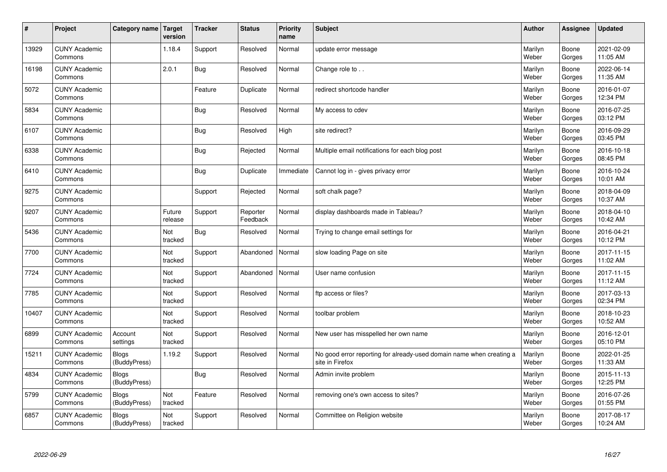| $\sharp$ | Project                         | Category name   Target       | version           | <b>Tracker</b> | <b>Status</b>        | <b>Priority</b><br>name | <b>Subject</b>                                                                          | <b>Author</b>    | Assignee        | <b>Updated</b>         |
|----------|---------------------------------|------------------------------|-------------------|----------------|----------------------|-------------------------|-----------------------------------------------------------------------------------------|------------------|-----------------|------------------------|
| 13929    | <b>CUNY Academic</b><br>Commons |                              | 1.18.4            | Support        | Resolved             | Normal                  | update error message                                                                    | Marilyn<br>Weber | Boone<br>Gorges | 2021-02-09<br>11:05 AM |
| 16198    | <b>CUNY Academic</b><br>Commons |                              | 2.0.1             | Bug            | Resolved             | Normal                  | Change role to                                                                          | Marilyn<br>Weber | Boone<br>Gorges | 2022-06-14<br>11:35 AM |
| 5072     | <b>CUNY Academic</b><br>Commons |                              |                   | Feature        | Duplicate            | Normal                  | redirect shortcode handler                                                              | Marilyn<br>Weber | Boone<br>Gorges | 2016-01-07<br>12:34 PM |
| 5834     | <b>CUNY Academic</b><br>Commons |                              |                   | Bug            | Resolved             | Normal                  | My access to cdev                                                                       | Marilyn<br>Weber | Boone<br>Gorges | 2016-07-25<br>03:12 PM |
| 6107     | <b>CUNY Academic</b><br>Commons |                              |                   | <b>Bug</b>     | Resolved             | High                    | site redirect?                                                                          | Marilyn<br>Weber | Boone<br>Gorges | 2016-09-29<br>03:45 PM |
| 6338     | <b>CUNY Academic</b><br>Commons |                              |                   | Bug            | Rejected             | Normal                  | Multiple email notifications for each blog post                                         | Marilyn<br>Weber | Boone<br>Gorges | 2016-10-18<br>08:45 PM |
| 6410     | <b>CUNY Academic</b><br>Commons |                              |                   | Bug            | Duplicate            | Immediate               | Cannot log in - gives privacy error                                                     | Marilyn<br>Weber | Boone<br>Gorges | 2016-10-24<br>10:01 AM |
| 9275     | <b>CUNY Academic</b><br>Commons |                              |                   | Support        | Rejected             | Normal                  | soft chalk page?                                                                        | Marilyn<br>Weber | Boone<br>Gorges | 2018-04-09<br>10:37 AM |
| 9207     | <b>CUNY Academic</b><br>Commons |                              | Future<br>release | Support        | Reporter<br>Feedback | Normal                  | display dashboards made in Tableau?                                                     | Marilyn<br>Weber | Boone<br>Gorges | 2018-04-10<br>10:42 AM |
| 5436     | <b>CUNY Academic</b><br>Commons |                              | Not<br>tracked    | <b>Bug</b>     | Resolved             | Normal                  | Trying to change email settings for                                                     | Marilyn<br>Weber | Boone<br>Gorges | 2016-04-21<br>10:12 PM |
| 7700     | <b>CUNY Academic</b><br>Commons |                              | Not<br>tracked    | Support        | Abandoned            | Normal                  | slow loading Page on site                                                               | Marilyn<br>Weber | Boone<br>Gorges | 2017-11-15<br>11:02 AM |
| 7724     | <b>CUNY Academic</b><br>Commons |                              | Not<br>tracked    | Support        | Abandoned            | Normal                  | User name confusion                                                                     | Marilyn<br>Weber | Boone<br>Gorges | 2017-11-15<br>11:12 AM |
| 7785     | <b>CUNY Academic</b><br>Commons |                              | Not<br>tracked    | Support        | Resolved             | Normal                  | ftp access or files?                                                                    | Marilyn<br>Weber | Boone<br>Gorges | 2017-03-13<br>02:34 PM |
| 10407    | <b>CUNY Academic</b><br>Commons |                              | Not<br>tracked    | Support        | Resolved             | Normal                  | toolbar problem                                                                         | Marilyn<br>Weber | Boone<br>Gorges | 2018-10-23<br>10:52 AM |
| 6899     | <b>CUNY Academic</b><br>Commons | Account<br>settings          | Not<br>tracked    | Support        | Resolved             | Normal                  | New user has misspelled her own name                                                    | Marilyn<br>Weber | Boone<br>Gorges | 2016-12-01<br>05:10 PM |
| 15211    | <b>CUNY Academic</b><br>Commons | <b>Blogs</b><br>(BuddyPress) | 1.19.2            | Support        | Resolved             | Normal                  | No good error reporting for already-used domain name when creating a<br>site in Firefox | Marilyn<br>Weber | Boone<br>Gorges | 2022-01-25<br>11:33 AM |
| 4834     | <b>CUNY Academic</b><br>Commons | Blogs<br>(BuddyPress)        |                   | <b>Bug</b>     | Resolved             | Normal                  | Admin invite problem                                                                    | Marilyn<br>Weber | Boone<br>Gorges | 2015-11-13<br>12:25 PM |
| 5799     | <b>CUNY Academic</b><br>Commons | <b>Blogs</b><br>(BuddyPress) | Not<br>tracked    | Feature        | Resolved             | Normal                  | removing one's own access to sites?                                                     | Marilyn<br>Weber | Boone<br>Gorges | 2016-07-26<br>01:55 PM |
| 6857     | <b>CUNY Academic</b><br>Commons | <b>Blogs</b><br>(BuddyPress) | Not<br>tracked    | Support        | Resolved             | Normal                  | Committee on Religion website                                                           | Marilyn<br>Weber | Boone<br>Gorges | 2017-08-17<br>10:24 AM |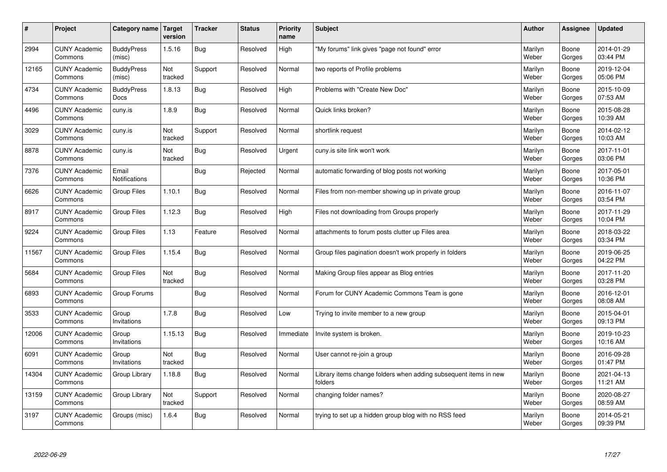| #     | Project                         | Category name   Target           | version        | <b>Tracker</b> | <b>Status</b> | Priority<br>name | <b>Subject</b>                                                              | <b>Author</b>    | <b>Assignee</b> | <b>Updated</b>         |
|-------|---------------------------------|----------------------------------|----------------|----------------|---------------|------------------|-----------------------------------------------------------------------------|------------------|-----------------|------------------------|
| 2994  | <b>CUNY Academic</b><br>Commons | <b>BuddyPress</b><br>(misc)      | 1.5.16         | <b>Bug</b>     | Resolved      | High             | "My forums" link gives "page not found" error                               | Marilyn<br>Weber | Boone<br>Gorges | 2014-01-29<br>03:44 PM |
| 12165 | <b>CUNY Academic</b><br>Commons | <b>BuddyPress</b><br>(misc)      | Not<br>tracked | Support        | Resolved      | Normal           | two reports of Profile problems                                             | Marilyn<br>Weber | Boone<br>Gorges | 2019-12-04<br>05:06 PM |
| 4734  | <b>CUNY Academic</b><br>Commons | <b>BuddyPress</b><br><b>Docs</b> | 1.8.13         | Bug            | Resolved      | High             | Problems with "Create New Doc"                                              | Marilyn<br>Weber | Boone<br>Gorges | 2015-10-09<br>07:53 AM |
| 4496  | <b>CUNY Academic</b><br>Commons | cuny.is                          | 1.8.9          | <b>Bug</b>     | Resolved      | Normal           | Quick links broken?                                                         | Marilyn<br>Weber | Boone<br>Gorges | 2015-08-28<br>10:39 AM |
| 3029  | <b>CUNY Academic</b><br>Commons | cuny.is                          | Not<br>tracked | Support        | Resolved      | Normal           | shortlink request                                                           | Marilyn<br>Weber | Boone<br>Gorges | 2014-02-12<br>10:03 AM |
| 8878  | <b>CUNY Academic</b><br>Commons | cuny.is                          | Not<br>tracked | Bug            | Resolved      | Urgent           | cuny.is site link won't work                                                | Marilyn<br>Weber | Boone<br>Gorges | 2017-11-01<br>03:06 PM |
| 7376  | <b>CUNY Academic</b><br>Commons | Email<br><b>Notifications</b>    |                | Bug            | Rejected      | Normal           | automatic forwarding of blog posts not working                              | Marilyn<br>Weber | Boone<br>Gorges | 2017-05-01<br>10:36 PM |
| 6626  | <b>CUNY Academic</b><br>Commons | Group Files                      | 1.10.1         | <b>Bug</b>     | Resolved      | Normal           | Files from non-member showing up in private group                           | Marilyn<br>Weber | Boone<br>Gorges | 2016-11-07<br>03:54 PM |
| 8917  | <b>CUNY Academic</b><br>Commons | <b>Group Files</b>               | 1.12.3         | Bug            | Resolved      | High             | Files not downloading from Groups properly                                  | Marilyn<br>Weber | Boone<br>Gorges | 2017-11-29<br>10:04 PM |
| 9224  | <b>CUNY Academic</b><br>Commons | <b>Group Files</b>               | 1.13           | Feature        | Resolved      | Normal           | attachments to forum posts clutter up Files area                            | Marilyn<br>Weber | Boone<br>Gorges | 2018-03-22<br>03:34 PM |
| 11567 | <b>CUNY Academic</b><br>Commons | <b>Group Files</b>               | 1.15.4         | Bug            | Resolved      | Normal           | Group files pagination doesn't work properly in folders                     | Marilyn<br>Weber | Boone<br>Gorges | 2019-06-25<br>04:22 PM |
| 5684  | <b>CUNY Academic</b><br>Commons | <b>Group Files</b>               | Not<br>tracked | <b>Bug</b>     | Resolved      | Normal           | Making Group files appear as Blog entries                                   | Marilyn<br>Weber | Boone<br>Gorges | 2017-11-20<br>03:28 PM |
| 6893  | <b>CUNY Academic</b><br>Commons | Group Forums                     |                | Bug            | Resolved      | Normal           | Forum for CUNY Academic Commons Team is gone                                | Marilyn<br>Weber | Boone<br>Gorges | 2016-12-01<br>08:08 AM |
| 3533  | <b>CUNY Academic</b><br>Commons | Group<br>Invitations             | 1.7.8          | <b>Bug</b>     | Resolved      | Low              | Trying to invite member to a new group                                      | Marilyn<br>Weber | Boone<br>Gorges | 2015-04-01<br>09:13 PM |
| 12006 | <b>CUNY Academic</b><br>Commons | Group<br>Invitations             | 1.15.13        | Bug            | Resolved      | Immediate        | Invite system is broken.                                                    | Marilyn<br>Weber | Boone<br>Gorges | 2019-10-23<br>10:16 AM |
| 6091  | <b>CUNY Academic</b><br>Commons | Group<br>Invitations             | Not<br>tracked | <b>Bug</b>     | Resolved      | Normal           | User cannot re-join a group                                                 | Marilyn<br>Weber | Boone<br>Gorges | 2016-09-28<br>01:47 PM |
| 14304 | <b>CUNY Academic</b><br>Commons | Group Library                    | 1.18.8         | Bug            | Resolved      | Normal           | Library items change folders when adding subsequent items in new<br>folders | Marilyn<br>Weber | Boone<br>Gorges | 2021-04-13<br>11:21 AM |
| 13159 | <b>CUNY Academic</b><br>Commons | Group Library                    | Not<br>tracked | Support        | Resolved      | Normal           | changing folder names?                                                      | Marilyn<br>Weber | Boone<br>Gorges | 2020-08-27<br>08:59 AM |
| 3197  | <b>CUNY Academic</b><br>Commons | Groups (misc)                    | 1.6.4          | <b>Bug</b>     | Resolved      | Normal           | trying to set up a hidden group blog with no RSS feed                       | Marilyn<br>Weber | Boone<br>Gorges | 2014-05-21<br>09:39 PM |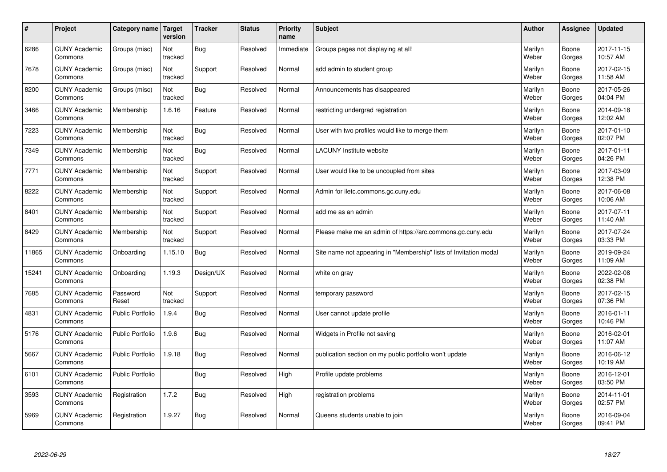| $\sharp$ | Project                         | Category name           | Target<br>version | <b>Tracker</b> | <b>Status</b> | <b>Priority</b><br>name | <b>Subject</b>                                                    | <b>Author</b>    | Assignee        | <b>Updated</b>         |
|----------|---------------------------------|-------------------------|-------------------|----------------|---------------|-------------------------|-------------------------------------------------------------------|------------------|-----------------|------------------------|
| 6286     | <b>CUNY Academic</b><br>Commons | Groups (misc)           | Not<br>tracked    | Bug            | Resolved      | Immediate               | Groups pages not displaying at all!                               | Marilyn<br>Weber | Boone<br>Gorges | 2017-11-15<br>10:57 AM |
| 7678     | <b>CUNY Academic</b><br>Commons | Groups (misc)           | Not<br>tracked    | Support        | Resolved      | Normal                  | add admin to student group                                        | Marilyn<br>Weber | Boone<br>Gorges | 2017-02-15<br>11:58 AM |
| 8200     | <b>CUNY Academic</b><br>Commons | Groups (misc)           | Not<br>tracked    | Bug            | Resolved      | Normal                  | Announcements has disappeared                                     | Marilyn<br>Weber | Boone<br>Gorges | 2017-05-26<br>04:04 PM |
| 3466     | <b>CUNY Academic</b><br>Commons | Membership              | 1.6.16            | Feature        | Resolved      | Normal                  | restricting undergrad registration                                | Marilyn<br>Weber | Boone<br>Gorges | 2014-09-18<br>12:02 AM |
| 7223     | <b>CUNY Academic</b><br>Commons | Membership              | Not<br>tracked    | Bug            | Resolved      | Normal                  | User with two profiles would like to merge them                   | Marilyn<br>Weber | Boone<br>Gorges | 2017-01-10<br>02:07 PM |
| 7349     | <b>CUNY Academic</b><br>Commons | Membership              | Not<br>tracked    | Bug            | Resolved      | Normal                  | <b>LACUNY Institute website</b>                                   | Marilyn<br>Weber | Boone<br>Gorges | 2017-01-11<br>04:26 PM |
| 7771     | <b>CUNY Academic</b><br>Commons | Membership              | Not<br>tracked    | Support        | Resolved      | Normal                  | User would like to be uncoupled from sites                        | Marilyn<br>Weber | Boone<br>Gorges | 2017-03-09<br>12:38 PM |
| 8222     | <b>CUNY Academic</b><br>Commons | Membership              | Not<br>tracked    | Support        | Resolved      | Normal                  | Admin for iletc.commons.gc.cuny.edu                               | Marilyn<br>Weber | Boone<br>Gorges | 2017-06-08<br>10:06 AM |
| 8401     | <b>CUNY Academic</b><br>Commons | Membership              | Not<br>tracked    | Support        | Resolved      | Normal                  | add me as an admin                                                | Marilyn<br>Weber | Boone<br>Gorges | 2017-07-11<br>11:40 AM |
| 8429     | <b>CUNY Academic</b><br>Commons | Membership              | Not<br>tracked    | Support        | Resolved      | Normal                  | Please make me an admin of https://arc.commons.gc.cuny.edu        | Marilyn<br>Weber | Boone<br>Gorges | 2017-07-24<br>03:33 PM |
| 11865    | <b>CUNY Academic</b><br>Commons | Onboarding              | 1.15.10           | Bug            | Resolved      | Normal                  | Site name not appearing in "Membership" lists of Invitation modal | Marilyn<br>Weber | Boone<br>Gorges | 2019-09-24<br>11:09 AM |
| 15241    | <b>CUNY Academic</b><br>Commons | Onboarding              | 1.19.3            | Design/UX      | Resolved      | Normal                  | white on gray                                                     | Marilyn<br>Weber | Boone<br>Gorges | 2022-02-08<br>02:38 PM |
| 7685     | <b>CUNY Academic</b><br>Commons | Password<br>Reset       | Not<br>tracked    | Support        | Resolved      | Normal                  | temporary password                                                | Marilyn<br>Weber | Boone<br>Gorges | 2017-02-15<br>07:36 PM |
| 4831     | <b>CUNY Academic</b><br>Commons | <b>Public Portfolio</b> | 1.9.4             | Bug            | Resolved      | Normal                  | User cannot update profile                                        | Marilyn<br>Weber | Boone<br>Gorges | 2016-01-11<br>10:46 PM |
| 5176     | <b>CUNY Academic</b><br>Commons | <b>Public Portfolio</b> | 1.9.6             | <b>Bug</b>     | Resolved      | Normal                  | Widgets in Profile not saving                                     | Marilyn<br>Weber | Boone<br>Gorges | 2016-02-01<br>11:07 AM |
| 5667     | <b>CUNY Academic</b><br>Commons | <b>Public Portfolio</b> | 1.9.18            | Bug            | Resolved      | Normal                  | publication section on my public portfolio won't update           | Marilyn<br>Weber | Boone<br>Gorges | 2016-06-12<br>10:19 AM |
| 6101     | <b>CUNY Academic</b><br>Commons | <b>Public Portfolio</b> |                   | Bug            | Resolved      | High                    | Profile update problems                                           | Marilyn<br>Weber | Boone<br>Gorges | 2016-12-01<br>03:50 PM |
| 3593     | <b>CUNY Academic</b><br>Commons | Registration            | 1.7.2             | Bug            | Resolved      | High                    | registration problems                                             | Marilyn<br>Weber | Boone<br>Gorges | 2014-11-01<br>02:57 PM |
| 5969     | <b>CUNY Academic</b><br>Commons | Registration            | 1.9.27            | Bug            | Resolved      | Normal                  | Queens students unable to join                                    | Marilyn<br>Weber | Boone<br>Gorges | 2016-09-04<br>09:41 PM |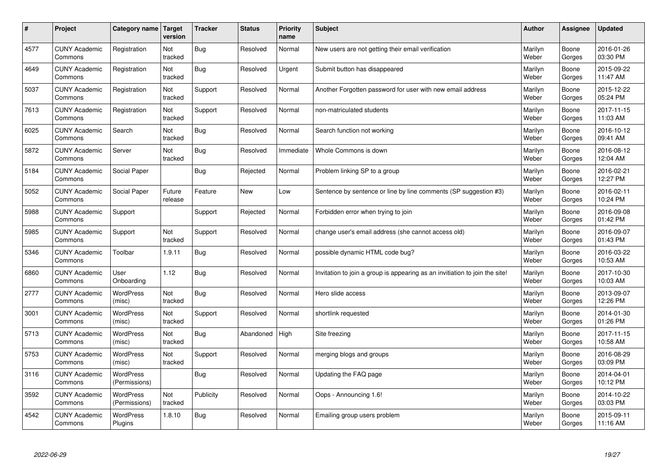| $\sharp$ | Project                         | Category name   Target            | version           | <b>Tracker</b> | <b>Status</b> | <b>Priority</b><br>name | <b>Subject</b>                                                              | <b>Author</b>    | Assignee        | <b>Updated</b>         |
|----------|---------------------------------|-----------------------------------|-------------------|----------------|---------------|-------------------------|-----------------------------------------------------------------------------|------------------|-----------------|------------------------|
| 4577     | <b>CUNY Academic</b><br>Commons | Registration                      | Not<br>tracked    | Bug            | Resolved      | Normal                  | New users are not getting their email verification                          | Marilyn<br>Weber | Boone<br>Gorges | 2016-01-26<br>03:30 PM |
| 4649     | <b>CUNY Academic</b><br>Commons | Registration                      | Not<br>tracked    | Bug            | Resolved      | Urgent                  | Submit button has disappeared                                               | Marilyn<br>Weber | Boone<br>Gorges | 2015-09-22<br>11:47 AM |
| 5037     | <b>CUNY Academic</b><br>Commons | Registration                      | Not<br>tracked    | Support        | Resolved      | Normal                  | Another Forgotten password for user with new email address                  | Marilyn<br>Weber | Boone<br>Gorges | 2015-12-22<br>05:24 PM |
| 7613     | <b>CUNY Academic</b><br>Commons | Registration                      | Not<br>tracked    | Support        | Resolved      | Normal                  | non-matriculated students                                                   | Marilyn<br>Weber | Boone<br>Gorges | 2017-11-15<br>11:03 AM |
| 6025     | <b>CUNY Academic</b><br>Commons | Search                            | Not<br>tracked    | Bug            | Resolved      | Normal                  | Search function not working                                                 | Marilyn<br>Weber | Boone<br>Gorges | 2016-10-12<br>09:41 AM |
| 5872     | <b>CUNY Academic</b><br>Commons | Server                            | Not<br>tracked    | Bug            | Resolved      | Immediate               | Whole Commons is down                                                       | Marilyn<br>Weber | Boone<br>Gorges | 2016-08-12<br>12:04 AM |
| 5184     | <b>CUNY Academic</b><br>Commons | Social Paper                      |                   | Bug            | Rejected      | Normal                  | Problem linking SP to a group                                               | Marilyn<br>Weber | Boone<br>Gorges | 2016-02-21<br>12:27 PM |
| 5052     | <b>CUNY Academic</b><br>Commons | Social Paper                      | Future<br>release | Feature        | <b>New</b>    | Low                     | Sentence by sentence or line by line comments (SP suggestion #3)            | Marilyn<br>Weber | Boone<br>Gorges | 2016-02-11<br>10:24 PM |
| 5988     | <b>CUNY Academic</b><br>Commons | Support                           |                   | Support        | Rejected      | Normal                  | Forbidden error when trying to join                                         | Marilyn<br>Weber | Boone<br>Gorges | 2016-09-08<br>01:42 PM |
| 5985     | <b>CUNY Academic</b><br>Commons | Support                           | Not<br>tracked    | Support        | Resolved      | Normal                  | change user's email address (she cannot access old)                         | Marilyn<br>Weber | Boone<br>Gorges | 2016-09-07<br>01:43 PM |
| 5346     | <b>CUNY Academic</b><br>Commons | Toolbar                           | 1.9.11            | <b>Bug</b>     | Resolved      | Normal                  | possible dynamic HTML code bug?                                             | Marilyn<br>Weber | Boone<br>Gorges | 2016-03-22<br>10:53 AM |
| 6860     | <b>CUNY Academic</b><br>Commons | User<br>Onboarding                | 1.12              | <b>Bug</b>     | Resolved      | Normal                  | Invitation to join a group is appearing as an invitiation to join the site! | Marilyn<br>Weber | Boone<br>Gorges | 2017-10-30<br>10:03 AM |
| 2777     | <b>CUNY Academic</b><br>Commons | WordPress<br>(misc)               | Not<br>tracked    | Bug            | Resolved      | Normal                  | Hero slide access                                                           | Marilyn<br>Weber | Boone<br>Gorges | 2013-09-07<br>12:26 PM |
| 3001     | <b>CUNY Academic</b><br>Commons | <b>WordPress</b><br>(misc)        | Not<br>tracked    | Support        | Resolved      | Normal                  | shortlink requested                                                         | Marilyn<br>Weber | Boone<br>Gorges | 2014-01-30<br>01:26 PM |
| 5713     | <b>CUNY Academic</b><br>Commons | WordPress<br>(misc)               | Not<br>tracked    | Bug            | Abandoned     | High                    | Site freezing                                                               | Marilyn<br>Weber | Boone<br>Gorges | 2017-11-15<br>10:58 AM |
| 5753     | <b>CUNY Academic</b><br>Commons | WordPress<br>(misc)               | Not<br>tracked    | Support        | Resolved      | Normal                  | merging blogs and groups                                                    | Marilyn<br>Weber | Boone<br>Gorges | 2016-08-29<br>03:09 PM |
| 3116     | <b>CUNY Academic</b><br>Commons | WordPress<br>(Permissions)        |                   | <b>Bug</b>     | Resolved      | Normal                  | Updating the FAQ page                                                       | Marilyn<br>Weber | Boone<br>Gorges | 2014-04-01<br>10:12 PM |
| 3592     | <b>CUNY Academic</b><br>Commons | <b>WordPress</b><br>(Permissions) | Not<br>tracked    | Publicity      | Resolved      | Normal                  | Oops - Announcing 1.6!                                                      | Marilyn<br>Weber | Boone<br>Gorges | 2014-10-22<br>03:03 PM |
| 4542     | <b>CUNY Academic</b><br>Commons | <b>WordPress</b><br>Plugins       | 1.8.10            | Bug            | Resolved      | Normal                  | Emailing group users problem                                                | Marilyn<br>Weber | Boone<br>Gorges | 2015-09-11<br>11:16 AM |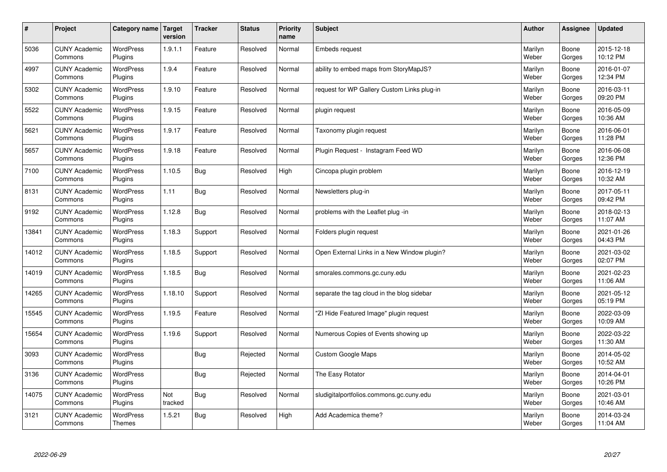| $\sharp$ | Project                         | Category name                     | Target<br>version | <b>Tracker</b> | <b>Status</b> | Priority<br>name | <b>Subject</b>                              | <b>Author</b>    | <b>Assignee</b> | <b>Updated</b>         |
|----------|---------------------------------|-----------------------------------|-------------------|----------------|---------------|------------------|---------------------------------------------|------------------|-----------------|------------------------|
| 5036     | <b>CUNY Academic</b><br>Commons | <b>WordPress</b><br>Plugins       | 1.9.1.1           | Feature        | Resolved      | Normal           | <b>Embeds request</b>                       | Marilyn<br>Weber | Boone<br>Gorges | 2015-12-18<br>10:12 PM |
| 4997     | <b>CUNY Academic</b><br>Commons | WordPress<br>Plugins              | 1.9.4             | Feature        | Resolved      | Normal           | ability to embed maps from StoryMapJS?      | Marilyn<br>Weber | Boone<br>Gorges | 2016-01-07<br>12:34 PM |
| 5302     | <b>CUNY Academic</b><br>Commons | <b>WordPress</b><br>Plugins       | 1.9.10            | Feature        | Resolved      | Normal           | request for WP Gallery Custom Links plug-in | Marilyn<br>Weber | Boone<br>Gorges | 2016-03-11<br>09:20 PM |
| 5522     | <b>CUNY Academic</b><br>Commons | <b>WordPress</b><br>Plugins       | 1.9.15            | Feature        | Resolved      | Normal           | plugin request                              | Marilyn<br>Weber | Boone<br>Gorges | 2016-05-09<br>10:36 AM |
| 5621     | <b>CUNY Academic</b><br>Commons | <b>WordPress</b><br>Plugins       | 1.9.17            | Feature        | Resolved      | Normal           | Taxonomy plugin request                     | Marilyn<br>Weber | Boone<br>Gorges | 2016-06-01<br>11:28 PM |
| 5657     | <b>CUNY Academic</b><br>Commons | <b>WordPress</b><br>Plugins       | 1.9.18            | Feature        | Resolved      | Normal           | Plugin Reguest - Instagram Feed WD          | Marilyn<br>Weber | Boone<br>Gorges | 2016-06-08<br>12:36 PM |
| 7100     | <b>CUNY Academic</b><br>Commons | <b>WordPress</b><br>Plugins       | 1.10.5            | Bug            | Resolved      | High             | Cincopa plugin problem                      | Marilyn<br>Weber | Boone<br>Gorges | 2016-12-19<br>10:32 AM |
| 8131     | <b>CUNY Academic</b><br>Commons | WordPress<br>Plugins              | 1.11              | Bug            | Resolved      | Normal           | Newsletters plug-in                         | Marilyn<br>Weber | Boone<br>Gorges | 2017-05-11<br>09:42 PM |
| 9192     | <b>CUNY Academic</b><br>Commons | <b>WordPress</b><br>Plugins       | 1.12.8            | <b>Bug</b>     | Resolved      | Normal           | problems with the Leaflet plug -in          | Marilyn<br>Weber | Boone<br>Gorges | 2018-02-13<br>11:07 AM |
| 13841    | <b>CUNY Academic</b><br>Commons | <b>WordPress</b><br>Plugins       | 1.18.3            | Support        | Resolved      | Normal           | Folders plugin request                      | Marilyn<br>Weber | Boone<br>Gorges | 2021-01-26<br>04:43 PM |
| 14012    | <b>CUNY Academic</b><br>Commons | <b>WordPress</b><br>Plugins       | 1.18.5            | Support        | Resolved      | Normal           | Open External Links in a New Window plugin? | Marilyn<br>Weber | Boone<br>Gorges | 2021-03-02<br>02:07 PM |
| 14019    | <b>CUNY Academic</b><br>Commons | <b>WordPress</b><br>Plugins       | 1.18.5            | <b>Bug</b>     | Resolved      | Normal           | smorales.commons.gc.cuny.edu                | Marilyn<br>Weber | Boone<br>Gorges | 2021-02-23<br>11:06 AM |
| 14265    | <b>CUNY Academic</b><br>Commons | <b>WordPress</b><br>Plugins       | 1.18.10           | Support        | Resolved      | Normal           | separate the tag cloud in the blog sidebar  | Marilyn<br>Weber | Boone<br>Gorges | 2021-05-12<br>05:19 PM |
| 15545    | <b>CUNY Academic</b><br>Commons | WordPress<br>Plugins              | 1.19.5            | Feature        | Resolved      | Normal           | 'ZI Hide Featured Image" plugin request     | Marilyn<br>Weber | Boone<br>Gorges | 2022-03-09<br>10:09 AM |
| 15654    | <b>CUNY Academic</b><br>Commons | WordPress<br>Plugins              | 1.19.6            | Support        | Resolved      | Normal           | Numerous Copies of Events showing up        | Marilyn<br>Weber | Boone<br>Gorges | 2022-03-22<br>11:30 AM |
| 3093     | <b>CUNY Academic</b><br>Commons | WordPress<br>Plugins              |                   | Bug            | Rejected      | Normal           | <b>Custom Google Maps</b>                   | Marilyn<br>Weber | Boone<br>Gorges | 2014-05-02<br>10:52 AM |
| 3136     | <b>CUNY Academic</b><br>Commons | WordPress<br>Plugins              |                   | <b>Bug</b>     | Rejected      | Normal           | The Easy Rotator                            | Marilyn<br>Weber | Boone<br>Gorges | 2014-04-01<br>10:26 PM |
| 14075    | <b>CUNY Academic</b><br>Commons | WordPress<br>Plugins              | Not<br>tracked    | Bug            | Resolved      | Normal           | sludigitalportfolios.commons.gc.cuny.edu    | Marilyn<br>Weber | Boone<br>Gorges | 2021-03-01<br>10:46 AM |
| 3121     | <b>CUNY Academic</b><br>Commons | <b>WordPress</b><br><b>Themes</b> | 1.5.21            | <b>Bug</b>     | Resolved      | High             | Add Academica theme?                        | Marilyn<br>Weber | Boone<br>Gorges | 2014-03-24<br>11:04 AM |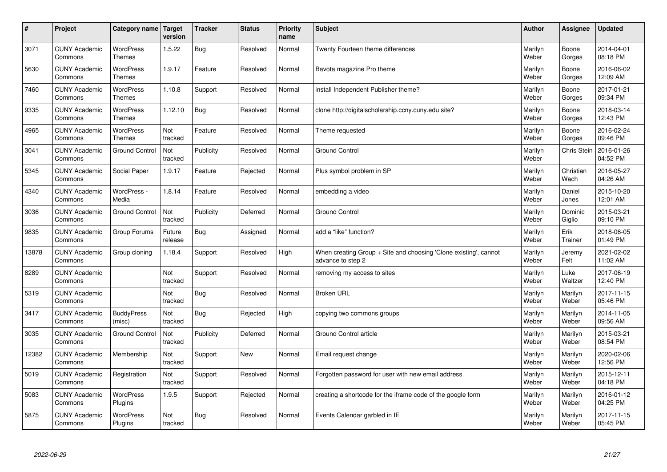| $\sharp$ | Project                         | Category name   Target            | version           | <b>Tracker</b> | <b>Status</b> | Priority<br>name | <b>Subject</b>                                                                        | <b>Author</b>    | <b>Assignee</b>   | <b>Updated</b>         |
|----------|---------------------------------|-----------------------------------|-------------------|----------------|---------------|------------------|---------------------------------------------------------------------------------------|------------------|-------------------|------------------------|
| 3071     | <b>CUNY Academic</b><br>Commons | <b>WordPress</b><br><b>Themes</b> | 1.5.22            | <b>Bug</b>     | Resolved      | Normal           | Twenty Fourteen theme differences                                                     | Marilyn<br>Weber | Boone<br>Gorges   | 2014-04-01<br>08:18 PM |
| 5630     | <b>CUNY Academic</b><br>Commons | <b>WordPress</b><br>Themes        | 1.9.17            | Feature        | Resolved      | Normal           | Bavota magazine Pro theme                                                             | Marilyn<br>Weber | Boone<br>Gorges   | 2016-06-02<br>12:09 AM |
| 7460     | <b>CUNY Academic</b><br>Commons | <b>WordPress</b><br><b>Themes</b> | 1.10.8            | Support        | Resolved      | Normal           | install Independent Publisher theme?                                                  | Marilyn<br>Weber | Boone<br>Gorges   | 2017-01-21<br>09:34 PM |
| 9335     | <b>CUNY Academic</b><br>Commons | <b>WordPress</b><br><b>Themes</b> | 1.12.10           | <b>Bug</b>     | Resolved      | Normal           | clone http://digitalscholarship.ccny.cuny.edu site?                                   | Marilyn<br>Weber | Boone<br>Gorges   | 2018-03-14<br>12:43 PM |
| 4965     | <b>CUNY Academic</b><br>Commons | <b>WordPress</b><br><b>Themes</b> | Not<br>tracked    | Feature        | Resolved      | Normal           | Theme requested                                                                       | Marilyn<br>Weber | Boone<br>Gorges   | 2016-02-24<br>09:46 PM |
| 3041     | <b>CUNY Academic</b><br>Commons | <b>Ground Control</b>             | Not<br>tracked    | Publicity      | Resolved      | Normal           | <b>Ground Control</b>                                                                 | Marilyn<br>Weber | Chris Stein       | 2016-01-26<br>04:52 PM |
| 5345     | <b>CUNY Academic</b><br>Commons | Social Paper                      | 1.9.17            | Feature        | Rejected      | Normal           | Plus symbol problem in SP                                                             | Marilyn<br>Weber | Christian<br>Wach | 2016-05-27<br>04:26 AM |
| 4340     | <b>CUNY Academic</b><br>Commons | WordPress -<br>Media              | 1.8.14            | Feature        | Resolved      | Normal           | embedding a video                                                                     | Marilyn<br>Weber | Daniel<br>Jones   | 2015-10-20<br>12:01 AM |
| 3036     | <b>CUNY Academic</b><br>Commons | <b>Ground Control</b>             | Not<br>tracked    | Publicity      | Deferred      | Normal           | <b>Ground Control</b>                                                                 | Marilyn<br>Weber | Dominic<br>Giglio | 2015-03-21<br>09:10 PM |
| 9835     | <b>CUNY Academic</b><br>Commons | Group Forums                      | Future<br>release | <b>Bug</b>     | Assigned      | Normal           | add a "like" function?                                                                | Marilyn<br>Weber | Erik<br>Trainer   | 2018-06-05<br>01:49 PM |
| 13878    | <b>CUNY Academic</b><br>Commons | Group cloning                     | 1.18.4            | Support        | Resolved      | High             | When creating Group + Site and choosing 'Clone existing', cannot<br>advance to step 2 | Marilyn<br>Weber | Jeremy<br>Felt    | 2021-02-02<br>11:02 AM |
| 8289     | <b>CUNY Academic</b><br>Commons |                                   | Not<br>tracked    | Support        | Resolved      | Normal           | removing my access to sites                                                           | Marilyn<br>Weber | Luke<br>Waltzer   | 2017-06-19<br>12:40 PM |
| 5319     | <b>CUNY Academic</b><br>Commons |                                   | Not<br>tracked    | Bug            | Resolved      | Normal           | <b>Broken URL</b>                                                                     | Marilyn<br>Weber | Marilyn<br>Weber  | 2017-11-15<br>05:46 PM |
| 3417     | <b>CUNY Academic</b><br>Commons | <b>BuddyPress</b><br>(misc)       | Not<br>tracked    | Bug            | Rejected      | High             | copying two commons groups                                                            | Marilyn<br>Weber | Marilyn<br>Weber  | 2014-11-05<br>09:56 AM |
| 3035     | <b>CUNY Academic</b><br>Commons | <b>Ground Control</b>             | Not<br>tracked    | Publicity      | Deferred      | Normal           | Ground Control article                                                                | Marilyn<br>Weber | Marilyn<br>Weber  | 2015-03-21<br>08:54 PM |
| 12382    | <b>CUNY Academic</b><br>Commons | Membership                        | Not<br>tracked    | Support        | <b>New</b>    | Normal           | Email request change                                                                  | Marilyn<br>Weber | Marilyn<br>Weber  | 2020-02-06<br>12:56 PM |
| 5019     | <b>CUNY Academic</b><br>Commons | Registration                      | Not<br>tracked    | Support        | Resolved      | Normal           | Forgotten password for user with new email address                                    | Marilyn<br>Weber | Marilyn<br>Weber  | 2015-12-11<br>04:18 PM |
| 5083     | <b>CUNY Academic</b><br>Commons | WordPress<br>Plugins              | 1.9.5             | Support        | Rejected      | Normal           | creating a shortcode for the iframe code of the google form                           | Marilyn<br>Weber | Marilyn<br>Weber  | 2016-01-12<br>04:25 PM |
| 5875     | <b>CUNY Academic</b><br>Commons | <b>WordPress</b><br>Plugins       | Not<br>tracked    | Bug            | Resolved      | Normal           | Events Calendar garbled in IE                                                         | Marilyn<br>Weber | Marilyn<br>Weber  | 2017-11-15<br>05:45 PM |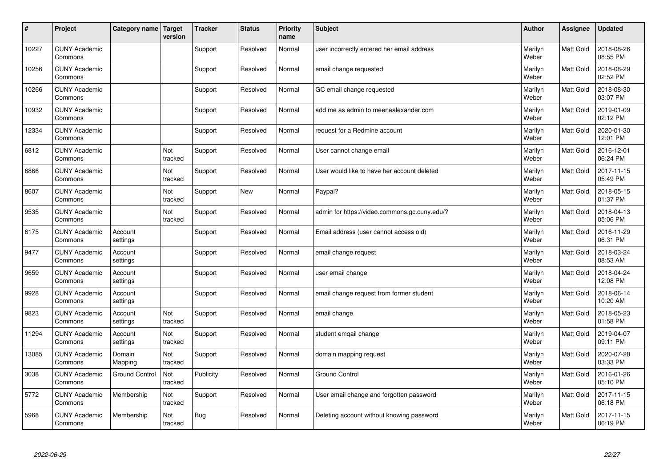| #     | Project                         | Category name         | <b>Target</b><br>version | <b>Tracker</b> | <b>Status</b> | <b>Priority</b><br>name | <b>Subject</b>                                | <b>Author</b>    | Assignee         | <b>Updated</b>         |
|-------|---------------------------------|-----------------------|--------------------------|----------------|---------------|-------------------------|-----------------------------------------------|------------------|------------------|------------------------|
| 10227 | <b>CUNY Academic</b><br>Commons |                       |                          | Support        | Resolved      | Normal                  | user incorrectly entered her email address    | Marilyn<br>Weber | Matt Gold        | 2018-08-26<br>08:55 PM |
| 10256 | <b>CUNY Academic</b><br>Commons |                       |                          | Support        | Resolved      | Normal                  | email change requested                        | Marilyn<br>Weber | Matt Gold        | 2018-08-29<br>02:52 PM |
| 10266 | <b>CUNY Academic</b><br>Commons |                       |                          | Support        | Resolved      | Normal                  | GC email change requested                     | Marilyn<br>Weber | Matt Gold        | 2018-08-30<br>03:07 PM |
| 10932 | <b>CUNY Academic</b><br>Commons |                       |                          | Support        | Resolved      | Normal                  | add me as admin to meenaalexander.com         | Marilyn<br>Weber | Matt Gold        | 2019-01-09<br>02:12 PM |
| 12334 | <b>CUNY Academic</b><br>Commons |                       |                          | Support        | Resolved      | Normal                  | request for a Redmine account                 | Marilyn<br>Weber | <b>Matt Gold</b> | 2020-01-30<br>12:01 PM |
| 6812  | <b>CUNY Academic</b><br>Commons |                       | Not<br>tracked           | Support        | Resolved      | Normal                  | User cannot change email                      | Marilyn<br>Weber | Matt Gold        | 2016-12-01<br>06:24 PM |
| 6866  | <b>CUNY Academic</b><br>Commons |                       | Not<br>tracked           | Support        | Resolved      | Normal                  | User would like to have her account deleted   | Marilyn<br>Weber | Matt Gold        | 2017-11-15<br>05:49 PM |
| 8607  | <b>CUNY Academic</b><br>Commons |                       | Not<br>tracked           | Support        | <b>New</b>    | Normal                  | Paypal?                                       | Marilyn<br>Weber | Matt Gold        | 2018-05-15<br>01:37 PM |
| 9535  | <b>CUNY Academic</b><br>Commons |                       | Not<br>tracked           | Support        | Resolved      | Normal                  | admin for https://video.commons.gc.cuny.edu/? | Marilyn<br>Weber | Matt Gold        | 2018-04-13<br>05:06 PM |
| 6175  | <b>CUNY Academic</b><br>Commons | Account<br>settings   |                          | Support        | Resolved      | Normal                  | Email address (user cannot access old)        | Marilyn<br>Weber | Matt Gold        | 2016-11-29<br>06:31 PM |
| 9477  | <b>CUNY Academic</b><br>Commons | Account<br>settings   |                          | Support        | Resolved      | Normal                  | email change request                          | Marilyn<br>Weber | Matt Gold        | 2018-03-24<br>08:53 AM |
| 9659  | <b>CUNY Academic</b><br>Commons | Account<br>settings   |                          | Support        | Resolved      | Normal                  | user email change                             | Marilyn<br>Weber | Matt Gold        | 2018-04-24<br>12:08 PM |
| 9928  | <b>CUNY Academic</b><br>Commons | Account<br>settings   |                          | Support        | Resolved      | Normal                  | email change request from former student      | Marilyn<br>Weber | Matt Gold        | 2018-06-14<br>10:20 AM |
| 9823  | <b>CUNY Academic</b><br>Commons | Account<br>settings   | Not<br>tracked           | Support        | Resolved      | Normal                  | email change                                  | Marilyn<br>Weber | Matt Gold        | 2018-05-23<br>01:58 PM |
| 11294 | <b>CUNY Academic</b><br>Commons | Account<br>settings   | Not<br>tracked           | Support        | Resolved      | Normal                  | student emgail change                         | Marilyn<br>Weber | Matt Gold        | 2019-04-07<br>09:11 PM |
| 13085 | <b>CUNY Academic</b><br>Commons | Domain<br>Mapping     | Not<br>tracked           | Support        | Resolved      | Normal                  | domain mapping request                        | Marilyn<br>Weber | Matt Gold        | 2020-07-28<br>03:33 PM |
| 3038  | <b>CUNY Academic</b><br>Commons | <b>Ground Control</b> | Not<br>tracked           | Publicity      | Resolved      | Normal                  | <b>Ground Control</b>                         | Marilyn<br>Weber | Matt Gold        | 2016-01-26<br>05:10 PM |
| 5772  | <b>CUNY Academic</b><br>Commons | Membership            | Not<br>tracked           | Support        | Resolved      | Normal                  | User email change and forgotten password      | Marilyn<br>Weber | Matt Gold        | 2017-11-15<br>06:18 PM |
| 5968  | <b>CUNY Academic</b><br>Commons | Membership            | Not<br>tracked           | Bug            | Resolved      | Normal                  | Deleting account without knowing password     | Marilyn<br>Weber | Matt Gold        | 2017-11-15<br>06:19 PM |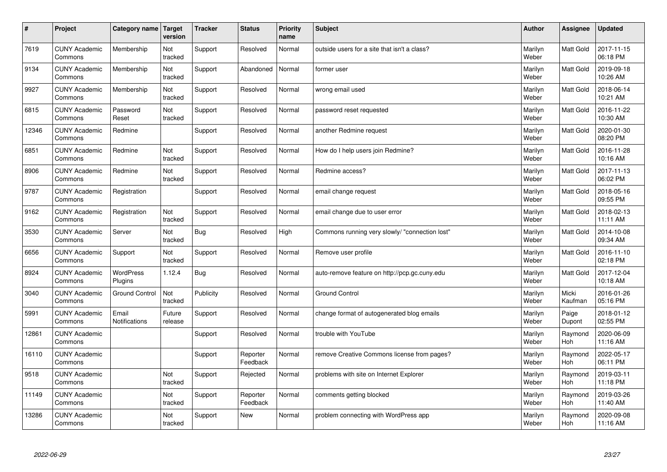| $\vert$ # | Project                         | Category name          | <b>Target</b><br>version | <b>Tracker</b> | <b>Status</b>        | <b>Priority</b><br>name | <b>Subject</b>                                 | <b>Author</b>    | <b>Assignee</b>  | <b>Updated</b>         |
|-----------|---------------------------------|------------------------|--------------------------|----------------|----------------------|-------------------------|------------------------------------------------|------------------|------------------|------------------------|
| 7619      | <b>CUNY Academic</b><br>Commons | Membership             | Not<br>tracked           | Support        | Resolved             | Normal                  | outside users for a site that isn't a class?   | Marilyn<br>Weber | <b>Matt Gold</b> | 2017-11-15<br>06:18 PM |
| 9134      | <b>CUNY Academic</b><br>Commons | Membership             | Not<br>tracked           | Support        | Abandoned            | Normal                  | former user                                    | Marilyn<br>Weber | <b>Matt Gold</b> | 2019-09-18<br>10:26 AM |
| 9927      | <b>CUNY Academic</b><br>Commons | Membership             | Not<br>tracked           | Support        | Resolved             | Normal                  | wrong email used                               | Marilyn<br>Weber | Matt Gold        | 2018-06-14<br>10:21 AM |
| 6815      | <b>CUNY Academic</b><br>Commons | Password<br>Reset      | Not<br>tracked           | Support        | Resolved             | Normal                  | password reset requested                       | Marilyn<br>Weber | Matt Gold        | 2016-11-22<br>10:30 AM |
| 12346     | <b>CUNY Academic</b><br>Commons | Redmine                |                          | Support        | Resolved             | Normal                  | another Redmine request                        | Marilyn<br>Weber | Matt Gold        | 2020-01-30<br>08:20 PM |
| 6851      | <b>CUNY Academic</b><br>Commons | Redmine                | Not<br>tracked           | Support        | Resolved             | Normal                  | How do I help users join Redmine?              | Marilyn<br>Weber | Matt Gold        | 2016-11-28<br>10:16 AM |
| 8906      | <b>CUNY Academic</b><br>Commons | Redmine                | Not<br>tracked           | Support        | Resolved             | Normal                  | Redmine access?                                | Marilyn<br>Weber | Matt Gold        | 2017-11-13<br>06:02 PM |
| 9787      | <b>CUNY Academic</b><br>Commons | Registration           |                          | Support        | Resolved             | Normal                  | email change request                           | Marilyn<br>Weber | Matt Gold        | 2018-05-16<br>09:55 PM |
| 9162      | <b>CUNY Academic</b><br>Commons | Registration           | Not<br>tracked           | Support        | Resolved             | Normal                  | email change due to user error                 | Marilyn<br>Weber | Matt Gold        | 2018-02-13<br>11:11 AM |
| 3530      | <b>CUNY Academic</b><br>Commons | Server                 | Not<br>tracked           | <b>Bug</b>     | Resolved             | High                    | Commons running very slowly/ "connection lost" | Marilyn<br>Weber | Matt Gold        | 2014-10-08<br>09:34 AM |
| 6656      | <b>CUNY Academic</b><br>Commons | Support                | Not<br>tracked           | Support        | Resolved             | Normal                  | Remove user profile                            | Marilyn<br>Weber | Matt Gold        | 2016-11-10<br>02:18 PM |
| 8924      | <b>CUNY Academic</b><br>Commons | WordPress<br>Plugins   | 1.12.4                   | <b>Bug</b>     | Resolved             | Normal                  | auto-remove feature on http://pcp.gc.cuny.edu  | Marilyn<br>Weber | Matt Gold        | 2017-12-04<br>10:18 AM |
| 3040      | <b>CUNY Academic</b><br>Commons | <b>Ground Control</b>  | Not<br>tracked           | Publicity      | Resolved             | Normal                  | <b>Ground Control</b>                          | Marilyn<br>Weber | Micki<br>Kaufman | 2016-01-26<br>05:16 PM |
| 5991      | <b>CUNY Academic</b><br>Commons | Email<br>Notifications | Future<br>release        | Support        | Resolved             | Normal                  | change format of autogenerated blog emails     | Marilyn<br>Weber | Paige<br>Dupont  | 2018-01-12<br>02:55 PM |
| 12861     | <b>CUNY Academic</b><br>Commons |                        |                          | Support        | Resolved             | Normal                  | trouble with YouTube                           | Marilyn<br>Weber | Raymond<br>Hoh   | 2020-06-09<br>11:16 AM |
| 16110     | <b>CUNY Academic</b><br>Commons |                        |                          | Support        | Reporter<br>Feedback | Normal                  | remove Creative Commons license from pages?    | Marilyn<br>Weber | Raymond<br>Hoh   | 2022-05-17<br>06:11 PM |
| 9518      | <b>CUNY Academic</b><br>Commons |                        | Not<br>tracked           | Support        | Rejected             | Normal                  | problems with site on Internet Explorer        | Marilyn<br>Weber | Raymond<br>Hoh   | 2019-03-11<br>11:18 PM |
| 11149     | <b>CUNY Academic</b><br>Commons |                        | Not<br>tracked           | Support        | Reporter<br>Feedback | Normal                  | comments getting blocked                       | Marilyn<br>Weber | Raymond<br>Hoh   | 2019-03-26<br>11:40 AM |
| 13286     | <b>CUNY Academic</b><br>Commons |                        | Not<br>tracked           | Support        | <b>New</b>           | Normal                  | problem connecting with WordPress app          | Marilyn<br>Weber | Raymond<br>Hoh   | 2020-09-08<br>11:16 AM |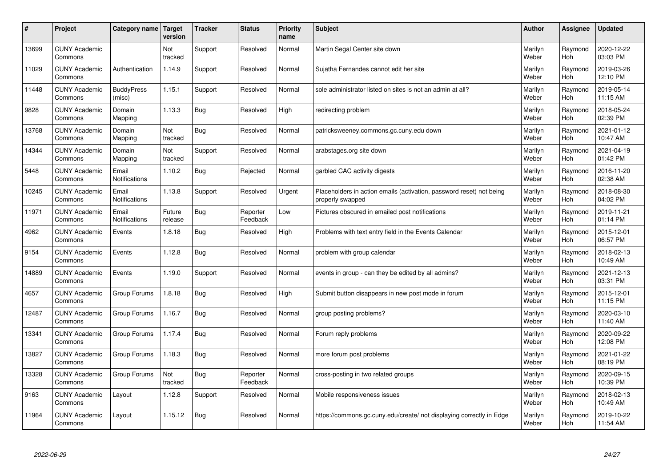| #     | Project                         | Category name   Target        | version           | <b>Tracker</b> | <b>Status</b>        | <b>Priority</b><br>name | <b>Subject</b>                                                                           | <b>Author</b>    | <b>Assignee</b> | <b>Updated</b>         |
|-------|---------------------------------|-------------------------------|-------------------|----------------|----------------------|-------------------------|------------------------------------------------------------------------------------------|------------------|-----------------|------------------------|
| 13699 | <b>CUNY Academic</b><br>Commons |                               | Not<br>tracked    | Support        | Resolved             | Normal                  | Martin Segal Center site down                                                            | Marilyn<br>Weber | Raymond<br>Hoh  | 2020-12-22<br>03:03 PM |
| 11029 | <b>CUNY Academic</b><br>Commons | Authentication                | 1.14.9            | Support        | Resolved             | Normal                  | Sujatha Fernandes cannot edit her site                                                   | Marilyn<br>Weber | Raymond<br>Hoh  | 2019-03-26<br>12:10 PM |
| 11448 | <b>CUNY Academic</b><br>Commons | <b>BuddyPress</b><br>(misc)   | 1.15.1            | Support        | Resolved             | Normal                  | sole administrator listed on sites is not an admin at all?                               | Marilyn<br>Weber | Raymond<br>Hoh  | 2019-05-14<br>11:15 AM |
| 9828  | <b>CUNY Academic</b><br>Commons | Domain<br>Mapping             | 1.13.3            | Bug            | Resolved             | High                    | redirecting problem                                                                      | Marilyn<br>Weber | Raymond<br>Hoh  | 2018-05-24<br>02:39 PM |
| 13768 | <b>CUNY Academic</b><br>Commons | Domain<br>Mapping             | Not<br>tracked    | <b>Bug</b>     | Resolved             | Normal                  | patricksweeney.commons.gc.cuny.edu down                                                  | Marilyn<br>Weber | Raymond<br>Hoh  | 2021-01-12<br>10:47 AM |
| 14344 | <b>CUNY Academic</b><br>Commons | Domain<br>Mapping             | Not<br>tracked    | Support        | Resolved             | Normal                  | arabstages.org site down                                                                 | Marilyn<br>Weber | Raymond<br>Hoh  | 2021-04-19<br>01:42 PM |
| 5448  | <b>CUNY Academic</b><br>Commons | Email<br>Notifications        | 1.10.2            | Bug            | Rejected             | Normal                  | garbled CAC activity digests                                                             | Marilyn<br>Weber | Raymond<br>Hoh  | 2016-11-20<br>02:38 AM |
| 10245 | <b>CUNY Academic</b><br>Commons | Email<br><b>Notifications</b> | 1.13.8            | Support        | Resolved             | Urgent                  | Placeholders in action emails (activation, password reset) not being<br>properly swapped | Marilyn<br>Weber | Raymond<br>Hoh  | 2018-08-30<br>04:02 PM |
| 11971 | <b>CUNY Academic</b><br>Commons | Email<br><b>Notifications</b> | Future<br>release | <b>Bug</b>     | Reporter<br>Feedback | Low                     | Pictures obscured in emailed post notifications                                          | Marilyn<br>Weber | Raymond<br>Hoh  | 2019-11-21<br>01:14 PM |
| 4962  | <b>CUNY Academic</b><br>Commons | Events                        | 1.8.18            | Bug            | Resolved             | High                    | Problems with text entry field in the Events Calendar                                    | Marilyn<br>Weber | Raymond<br>Hoh  | 2015-12-01<br>06:57 PM |
| 9154  | <b>CUNY Academic</b><br>Commons | Events                        | 1.12.8            | <b>Bug</b>     | Resolved             | Normal                  | problem with group calendar                                                              | Marilyn<br>Weber | Raymond<br>Hoh  | 2018-02-13<br>10:49 AM |
| 14889 | <b>CUNY Academic</b><br>Commons | Events                        | 1.19.0            | Support        | Resolved             | Normal                  | events in group - can they be edited by all admins?                                      | Marilyn<br>Weber | Raymond<br>Hoh  | 2021-12-13<br>03:31 PM |
| 4657  | <b>CUNY Academic</b><br>Commons | Group Forums                  | 1.8.18            | <b>Bug</b>     | Resolved             | High                    | Submit button disappears in new post mode in forum                                       | Marilyn<br>Weber | Raymond<br>Hoh  | 2015-12-01<br>11:15 PM |
| 12487 | <b>CUNY Academic</b><br>Commons | Group Forums                  | 1.16.7            | <b>Bug</b>     | Resolved             | Normal                  | group posting problems?                                                                  | Marilyn<br>Weber | Raymond<br>Hoh  | 2020-03-10<br>11:40 AM |
| 13341 | <b>CUNY Academic</b><br>Commons | Group Forums                  | 1.17.4            | <b>Bug</b>     | Resolved             | Normal                  | Forum reply problems                                                                     | Marilyn<br>Weber | Raymond<br>Hoh  | 2020-09-22<br>12:08 PM |
| 13827 | <b>CUNY Academic</b><br>Commons | Group Forums                  | 1.18.3            | Bug            | Resolved             | Normal                  | more forum post problems                                                                 | Marilyn<br>Weber | Raymond<br>Hoh  | 2021-01-22<br>08:19 PM |
| 13328 | <b>CUNY Academic</b><br>Commons | Group Forums                  | Not<br>tracked    | <b>Bug</b>     | Reporter<br>Feedback | Normal                  | cross-posting in two related groups                                                      | Marilyn<br>Weber | Raymond<br>Hoh  | 2020-09-15<br>10:39 PM |
| 9163  | <b>CUNY Academic</b><br>Commons | Layout                        | 1.12.8            | Support        | Resolved             | Normal                  | Mobile responsiveness issues                                                             | Marilyn<br>Weber | Raymond<br>Hoh  | 2018-02-13<br>10:49 AM |
| 11964 | <b>CUNY Academic</b><br>Commons | Layout                        | 1.15.12           | Bug            | Resolved             | Normal                  | https://commons.gc.cuny.edu/create/ not displaying correctly in Edge                     | Marilyn<br>Weber | Raymond<br>Hoh  | 2019-10-22<br>11:54 AM |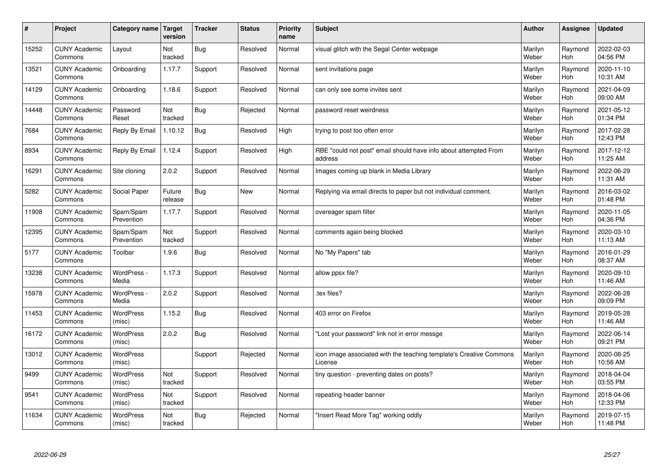| $\sharp$ | Project                         | Category name   Target     | version           | <b>Tracker</b> | <b>Status</b> | <b>Priority</b><br>name | <b>Subject</b>                                                                 | <b>Author</b>    | <b>Assignee</b> | <b>Updated</b>         |
|----------|---------------------------------|----------------------------|-------------------|----------------|---------------|-------------------------|--------------------------------------------------------------------------------|------------------|-----------------|------------------------|
| 15252    | <b>CUNY Academic</b><br>Commons | Layout                     | Not<br>tracked    | <b>Bug</b>     | Resolved      | Normal                  | visual glitch with the Segal Center webpage                                    | Marilyn<br>Weber | Raymond<br>Hoh  | 2022-02-03<br>04:56 PM |
| 13521    | <b>CUNY Academic</b><br>Commons | Onboarding                 | 1.17.7            | Support        | Resolved      | Normal                  | sent invitations page                                                          | Marilyn<br>Weber | Raymond<br>Hoh  | 2020-11-10<br>10:31 AM |
| 14129    | <b>CUNY Academic</b><br>Commons | Onboarding                 | 1.18.6            | Support        | Resolved      | Normal                  | can only see some invites sent                                                 | Marilyn<br>Weber | Raymond<br>Hoh  | 2021-04-09<br>09:00 AM |
| 14448    | <b>CUNY Academic</b><br>Commons | Password<br>Reset          | Not<br>tracked    | <b>Bug</b>     | Rejected      | Normal                  | password reset weirdness                                                       | Marilyn<br>Weber | Raymond<br>Hoh  | 2021-05-12<br>01:34 PM |
| 7684     | <b>CUNY Academic</b><br>Commons | Reply By Email             | 1.10.12           | <b>Bug</b>     | Resolved      | High                    | trying to post too often error                                                 | Marilyn<br>Weber | Raymond<br>Hoh  | 2017-02-28<br>12:43 PM |
| 8934     | <b>CUNY Academic</b><br>Commons | Reply By Email             | 1.12.4            | Support        | Resolved      | High                    | RBE "could not post" email should have info about attempted From<br>address    | Marilyn<br>Weber | Raymond<br>Hoh  | 2017-12-12<br>11:25 AM |
| 16291    | <b>CUNY Academic</b><br>Commons | Site cloning               | 2.0.2             | Support        | Resolved      | Normal                  | Images coming up blank in Media Library                                        | Marilyn<br>Weber | Raymond<br>Hoh  | 2022-06-29<br>11:31 AM |
| 5282     | <b>CUNY Academic</b><br>Commons | Social Paper               | Future<br>release | <b>Bug</b>     | <b>New</b>    | Normal                  | Replying via email directs to paper but not individual comment.                | Marilyn<br>Weber | Raymond<br>Hoh  | 2016-03-02<br>01:48 PM |
| 11908    | <b>CUNY Academic</b><br>Commons | Spam/Spam<br>Prevention    | 1.17.7            | Support        | Resolved      | Normal                  | overeager spam filter                                                          | Marilyn<br>Weber | Raymond<br>Hoh  | 2020-11-05<br>04:36 PM |
| 12395    | <b>CUNY Academic</b><br>Commons | Spam/Spam<br>Prevention    | Not<br>tracked    | Support        | Resolved      | Normal                  | comments again being blocked                                                   | Marilyn<br>Weber | Raymond<br>Hoh  | 2020-03-10<br>11:13 AM |
| 5177     | <b>CUNY Academic</b><br>Commons | Toolbar                    | 1.9.6             | <b>Bug</b>     | Resolved      | Normal                  | No "My Papers" tab                                                             | Marilyn<br>Weber | Raymond<br>Hoh  | 2016-01-29<br>08:37 AM |
| 13238    | <b>CUNY Academic</b><br>Commons | WordPress -<br>Media       | 1.17.3            | Support        | Resolved      | Normal                  | allow ppsx file?                                                               | Marilyn<br>Weber | Raymond<br>Hoh  | 2020-09-10<br>11:46 AM |
| 15978    | <b>CUNY Academic</b><br>Commons | WordPress -<br>Media       | 2.0.2             | Support        | Resolved      | Normal                  | tex files?                                                                     | Marilyn<br>Weber | Raymond<br>Hoh  | 2022-06-28<br>09:09 PM |
| 11453    | <b>CUNY Academic</b><br>Commons | WordPress<br>(misc)        | 1.15.2            | <b>Bug</b>     | Resolved      | Normal                  | 403 error on Firefox                                                           | Marilyn<br>Weber | Raymond<br>Hoh  | 2019-05-28<br>11:46 AM |
| 16172    | <b>CUNY Academic</b><br>Commons | WordPress<br>(misc)        | 2.0.2             | <b>Bug</b>     | Resolved      | Normal                  | 'Lost your password" link not in error messge                                  | Marilyn<br>Weber | Raymond<br>Hoh  | 2022-06-14<br>09:21 PM |
| 13012    | <b>CUNY Academic</b><br>Commons | <b>WordPress</b><br>(misc) |                   | Support        | Rejected      | Normal                  | icon image associated with the teaching template's Creative Commons<br>License | Marilyn<br>Weber | Raymond<br>Hoh  | 2020-08-25<br>10:56 AM |
| 9499     | <b>CUNY Academic</b><br>Commons | WordPress<br>(misc)        | Not<br>tracked    | Support        | Resolved      | Normal                  | tiny question - preventing dates on posts?                                     | Marilyn<br>Weber | Raymond<br>Hoh  | 2018-04-04<br>03:55 PM |
| 9541     | <b>CUNY Academic</b><br>Commons | WordPress<br>(misc)        | Not<br>tracked    | Support        | Resolved      | Normal                  | repeating header banner                                                        | Marilyn<br>Weber | Raymond<br>Hoh  | 2018-04-06<br>12:33 PM |
| 11634    | <b>CUNY Academic</b><br>Commons | <b>WordPress</b><br>(misc) | Not<br>tracked    | Bug            | Rejected      | Normal                  | 'Insert Read More Tag" working oddly                                           | Marilyn<br>Weber | Raymond<br>Hoh  | 2019-07-15<br>11:48 PM |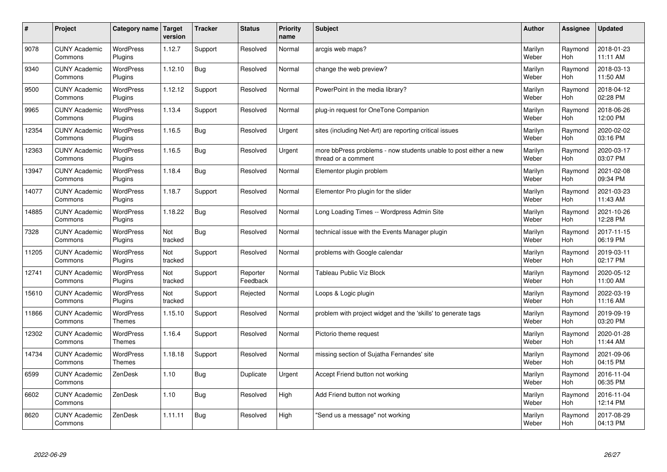| $\sharp$ | Project                         | Category name                     | <b>Target</b><br>version | <b>Tracker</b> | <b>Status</b>        | <b>Priority</b><br>name | <b>Subject</b>                                                                          | <b>Author</b>    | Assignee       | <b>Updated</b>         |
|----------|---------------------------------|-----------------------------------|--------------------------|----------------|----------------------|-------------------------|-----------------------------------------------------------------------------------------|------------------|----------------|------------------------|
| 9078     | <b>CUNY Academic</b><br>Commons | <b>WordPress</b><br>Plugins       | 1.12.7                   | Support        | Resolved             | Normal                  | arcgis web maps?                                                                        | Marilyn<br>Weber | Raymond<br>Hoh | 2018-01-23<br>11:11 AM |
| 9340     | <b>CUNY Academic</b><br>Commons | <b>WordPress</b><br>Plugins       | 1.12.10                  | <b>Bug</b>     | Resolved             | Normal                  | change the web preview?                                                                 | Marilyn<br>Weber | Raymond<br>Hoh | 2018-03-13<br>11:50 AM |
| 9500     | <b>CUNY Academic</b><br>Commons | <b>WordPress</b><br>Plugins       | 1.12.12                  | Support        | Resolved             | Normal                  | PowerPoint in the media library?                                                        | Marilyn<br>Weber | Raymond<br>Hoh | 2018-04-12<br>02:28 PM |
| 9965     | <b>CUNY Academic</b><br>Commons | <b>WordPress</b><br>Plugins       | 1.13.4                   | Support        | Resolved             | Normal                  | plug-in request for OneTone Companion                                                   | Marilyn<br>Weber | Raymond<br>Hoh | 2018-06-26<br>12:00 PM |
| 12354    | <b>CUNY Academic</b><br>Commons | <b>WordPress</b><br>Plugins       | 1.16.5                   | Bug            | Resolved             | Urgent                  | sites (including Net-Art) are reporting critical issues                                 | Marilyn<br>Weber | Raymond<br>Hoh | 2020-02-02<br>03:16 PM |
| 12363    | <b>CUNY Academic</b><br>Commons | <b>WordPress</b><br>Plugins       | 1.16.5                   | Bug            | Resolved             | Urgent                  | more bbPress problems - now students unable to post either a new<br>thread or a comment | Marilyn<br>Weber | Raymond<br>Hoh | 2020-03-17<br>03:07 PM |
| 13947    | <b>CUNY Academic</b><br>Commons | <b>WordPress</b><br>Plugins       | 1.18.4                   | Bug            | Resolved             | Normal                  | Elementor plugin problem                                                                | Marilyn<br>Weber | Raymond<br>Hoh | 2021-02-08<br>09:34 PM |
| 14077    | <b>CUNY Academic</b><br>Commons | WordPress<br>Plugins              | 1.18.7                   | Support        | Resolved             | Normal                  | Elementor Pro plugin for the slider                                                     | Marilyn<br>Weber | Raymond<br>Hoh | 2021-03-23<br>11:43 AM |
| 14885    | <b>CUNY Academic</b><br>Commons | WordPress<br>Plugins              | 1.18.22                  | <b>Bug</b>     | Resolved             | Normal                  | Long Loading Times -- Wordpress Admin Site                                              | Marilyn<br>Weber | Raymond<br>Hoh | 2021-10-26<br>12:28 PM |
| 7328     | <b>CUNY Academic</b><br>Commons | WordPress<br>Plugins              | Not<br>tracked           | <b>Bug</b>     | Resolved             | Normal                  | technical issue with the Events Manager plugin                                          | Marilyn<br>Weber | Raymond<br>Hoh | 2017-11-15<br>06:19 PM |
| 11205    | <b>CUNY Academic</b><br>Commons | <b>WordPress</b><br>Plugins       | Not<br>tracked           | Support        | Resolved             | Normal                  | problems with Google calendar                                                           | Marilyn<br>Weber | Raymond<br>Hoh | 2019-03-11<br>02:17 PM |
| 12741    | <b>CUNY Academic</b><br>Commons | <b>WordPress</b><br>Plugins       | Not<br>tracked           | Support        | Reporter<br>Feedback | Normal                  | <b>Tableau Public Viz Block</b>                                                         | Marilyn<br>Weber | Raymond<br>Hoh | 2020-05-12<br>11:00 AM |
| 15610    | <b>CUNY Academic</b><br>Commons | <b>WordPress</b><br>Plugins       | Not<br>tracked           | Support        | Rejected             | Normal                  | Loops & Logic plugin                                                                    | Marilyn<br>Weber | Raymond<br>Hoh | 2022-03-19<br>11:16 AM |
| 11866    | <b>CUNY Academic</b><br>Commons | <b>WordPress</b><br><b>Themes</b> | 1.15.10                  | Support        | Resolved             | Normal                  | problem with project widget and the 'skills' to generate tags                           | Marilyn<br>Weber | Raymond<br>Hoh | 2019-09-19<br>03:20 PM |
| 12302    | <b>CUNY Academic</b><br>Commons | <b>WordPress</b><br><b>Themes</b> | 1.16.4                   | Support        | Resolved             | Normal                  | Pictorio theme request                                                                  | Marilyn<br>Weber | Raymond<br>Hoh | 2020-01-28<br>11:44 AM |
| 14734    | <b>CUNY Academic</b><br>Commons | WordPress<br><b>Themes</b>        | 1.18.18                  | Support        | Resolved             | Normal                  | missing section of Sujatha Fernandes' site                                              | Marilyn<br>Weber | Raymond<br>Hoh | 2021-09-06<br>04:15 PM |
| 6599     | <b>CUNY Academic</b><br>Commons | ZenDesk                           | 1.10                     | <b>Bug</b>     | Duplicate            | Urgent                  | Accept Friend button not working                                                        | Marilyn<br>Weber | Raymond<br>Hoh | 2016-11-04<br>06:35 PM |
| 6602     | <b>CUNY Academic</b><br>Commons | ZenDesk                           | 1.10                     | <b>Bug</b>     | Resolved             | High                    | Add Friend button not working                                                           | Marilyn<br>Weber | Raymond<br>Hoh | 2016-11-04<br>12:14 PM |
| 8620     | <b>CUNY Academic</b><br>Commons | ZenDesk                           | 1.11.11                  | <b>Bug</b>     | Resolved             | High                    | 'Send us a message" not working                                                         | Marilyn<br>Weber | Raymond<br>Hoh | 2017-08-29<br>04:13 PM |